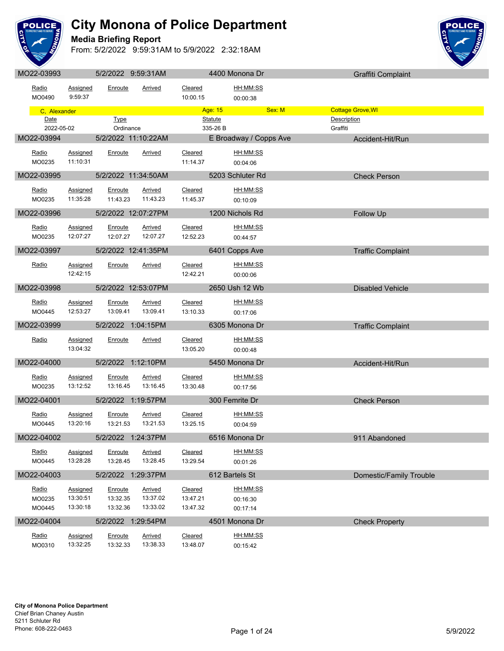

**Media Briefing Report**



| MO22-03993      |                      | 5/2/2022 9:59:31AM   |                     |                     | 4400 Monona Dr                 |        | Graffiti Complaint       |
|-----------------|----------------------|----------------------|---------------------|---------------------|--------------------------------|--------|--------------------------|
| Radio           | Assigned             | Enroute              | Arrived             | Cleared             | <u>HH:MM:SS</u>                |        |                          |
| MO0490          | 9:59:37              |                      |                     | 10:00.15            | 00:00:38                       |        |                          |
| C. Alexander    |                      |                      |                     |                     | Age: 15 <b>Age:</b> 15         | Sex: M | <b>Cottage Grove, WI</b> |
| Date            |                      | <b>Type</b>          |                     |                     | <b>Statute</b>                 |        | Description              |
| 2022-05-02      |                      | Ordinance            |                     |                     | 335-26 B                       |        | Graffiti                 |
| MO22-03994      |                      |                      | 5/2/2022 11:10:22AM |                     | E Broadway / Copps Ave         |        | Accident-Hit/Run         |
| Radio           | Assigned             | Enroute              | Arrived             | Cleared             | HH:MM:SS                       |        |                          |
| MO0235          | 11:10:31             |                      |                     | 11:14.37            | 00:04:06                       |        |                          |
| MO22-03995      |                      |                      | 5/2/2022 11:34:50AM | <u>a sa mga sa</u>  | 5203 Schluter Rd               |        | <b>Check Person</b>      |
| Radio           | Assigned             | Enroute              | <b>Arrived</b>      | Cleared             | HH:MM:SS                       |        |                          |
| MO0235          | 11:35:28             | 11:43.23             | 11:43.23            | 11:45.37            | 00:10:09                       |        |                          |
| MO22-03996      |                      |                      | 5/2/2022 12:07:27PM |                     | 1200 Nichols Rd                |        | Follow Up                |
|                 |                      |                      |                     |                     |                                |        |                          |
| Radio           | Assigned<br>12:07:27 | Enroute<br>12:07.27  | Arrived<br>12:07.27 | Cleared<br>12:52.23 | HH:MM:SS                       |        |                          |
| MO0235          |                      |                      |                     |                     | 00:44:57                       |        |                          |
| MO22-03997      |                      |                      | 5/2/2022 12:41:35PM |                     | 6401 Copps Ave                 |        | <b>Traffic Complaint</b> |
| Radio           | Assigned             | Enroute              | Arrived             | Cleared             | HH:MM:SS                       |        |                          |
|                 | 12:42:15             |                      |                     | 12:42.21            | 00:00:06                       |        |                          |
| MO22-03998      |                      |                      | 5/2/2022 12:53:07PM |                     | 2650 Ush 12 Wb                 |        | <b>Disabled Vehicle</b>  |
| Radio           | <b>Assigned</b>      | Enroute              | Arrived             | Cleared             | HH:MM:SS                       |        |                          |
| MO0445          | 12:53:27             |                      | 13:09.41  13:09.41  | 13:10.33            | 00:17:06                       |        |                          |
| MO22-03999      |                      | $5/2/2022$ 1:04:15PM |                     |                     | 6305 Monona Dr                 |        | <b>Traffic Complaint</b> |
|                 |                      |                      |                     |                     |                                |        |                          |
| Radio           | Assigned<br>13:04:32 | Enroute              | Arrived             | Cleared<br>13:05.20 | HH:MM:SS<br>00:00:48           |        |                          |
|                 |                      |                      |                     |                     |                                |        |                          |
| MO22-04000      |                      | 5/2/2022 1:12:10PM   |                     |                     | 5450 Monona Dr                 |        | Accident-Hit/Run         |
| Radio           | Assigned             | Enroute              | Arrived             | Cleared             | HH:MM:SS                       |        |                          |
| MO0235          | 13:12:52             | 13:16.45             | 13:16.45            | 13:30.48            | 00:17:56                       |        |                          |
| MO22-04001      |                      | 5/2/2022 1:19:57PM   |                     |                     | 300 Femrite Dr                 |        | <b>Check Person</b>      |
| Radio           | <b>Assigned</b>      | Enroute              | <b>Arrived</b>      | Cleared             | <u>HH:MM:SS</u>                |        |                          |
| MO0445          | 13:20:16             | 13:21.53             | 13:21.53            | 13:25.15            | 00:04:59                       |        |                          |
| MO22-04002      |                      | 5/2/2022 1:24:37PM   |                     |                     | <b>Example 16516 Monona Dr</b> |        | 911 Abandoned            |
| Radio           | <b>Assigned</b>      | Enroute              | Arrived             | Cleared             | HH:MM:SS                       |        |                          |
| MO0445          | 13:28:28             | 13:28.45             | 13:28.45            | 13:29.54            | 00:01:26                       |        |                          |
| MO22-04003      |                      | 5/2/2022 1:29:37PM   |                     |                     | 612 Bartels St                 |        | Domestic/Family Trouble  |
|                 |                      |                      |                     |                     |                                |        |                          |
| Radio<br>MO0235 | Assigned<br>13:30:51 | Enroute<br>13:32.35  | Arrived<br>13:37.02 | Cleared<br>13:47.21 | HH:MM:SS                       |        |                          |
| MO0445          | 13:30:18             | 13:32.36             | 13:33.02            | 13:47.32            | 00:16:30<br>00:17:14           |        |                          |
| MO22-04004      |                      | 5/2/2022 1:29:54PM   |                     |                     | 4501 Monona Dr                 |        |                          |
|                 |                      |                      |                     |                     |                                |        | <b>Check Property</b>    |
| Radio           | <b>Assigned</b>      | Enroute              | <b>Arrived</b>      | Cleared             | HH:MM:SS                       |        |                          |
| MO0310          | 13:32:25             | 13:32.33             | 13:38.33            | 13:48.07            | 00:15:42                       |        |                          |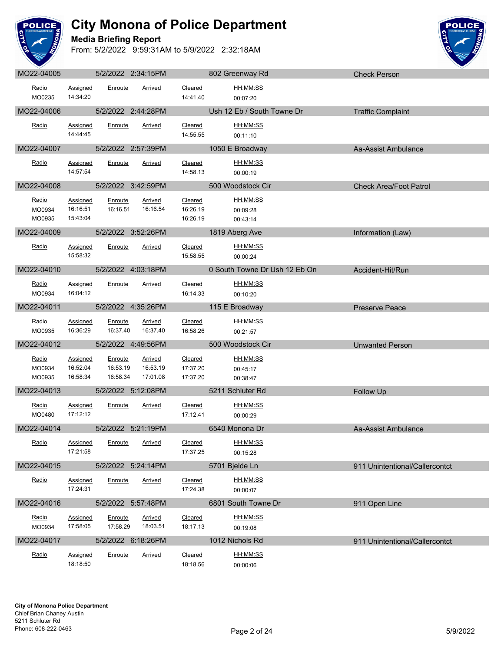

**Media Briefing Report**



| MO22-04005                |                                  |                                 | 5/2/2022 2:34:15PM              |                                 | 802 Greenway Rd                  | <b>Check Person</b>            |
|---------------------------|----------------------------------|---------------------------------|---------------------------------|---------------------------------|----------------------------------|--------------------------------|
| Radio<br>MO0235           | Assigned<br>14:34:20             | Enroute                         | Arrived                         | Cleared<br>14:41.40             | <u>HH:MM:SS</u><br>00:07:20      |                                |
| MO22-04006                |                                  |                                 | 5/2/2022 2:44:28PM              |                                 | Ush 12 Eb / South Towne Dr       | <b>Traffic Complaint</b>       |
| Radio                     | Assigned<br>14:44:45             | Enroute                         | Arrived                         | Cleared<br>14:55.55             | HH:MM:SS<br>00:11:10             |                                |
| MO22-04007                |                                  |                                 | 5/2/2022 2:57:39PM              |                                 | 1050 E Broadway                  | Aa-Assist Ambulance            |
| Radio                     | Assigned<br>14:57:54             | Enroute                         | Arrived                         | Cleared<br>14:58.13             | HH:MM:SS<br>00:00:19             |                                |
| MO22-04008                |                                  |                                 | 5/2/2022 3:42:59PM              |                                 | 500 Woodstock Cir                | <b>Check Area/Foot Patrol</b>  |
| Radio<br>MO0934<br>MO0935 | Assigned<br>16:16:51<br>15:43:04 | Enroute<br>16:16.51             | <b>Arrived</b><br>16:16.54      | Cleared<br>16:26.19<br>16:26.19 | HH:MM:SS<br>00:09:28<br>00:43:14 |                                |
| MO22-04009                |                                  |                                 | 5/2/2022 3:52:26PM              |                                 | 1819 Aberg Ave                   | Information (Law)              |
| Radio                     | Assigned<br>15:58:32             | Enroute                         | Arrived                         | Cleared<br>15:58.55             | HH:MM:SS<br>00:00:24             |                                |
| MO22-04010                |                                  |                                 | 5/2/2022 4:03:18PM              |                                 | 0 South Towne Dr Ush 12 Eb On    | Accident-Hit/Run               |
| Radio<br>MO0934           | Assigned<br>16:04:12             | Enroute                         | Arrived                         | Cleared<br>16:14.33             | HH:MM:SS<br>00:10:20             |                                |
| MO22-04011                |                                  |                                 | 5/2/2022 4:35:26PM              |                                 | 115 E Broadway                   | <b>Preserve Peace</b>          |
| Radio<br>MO0935           | <b>Assigned</b><br>16:36:29      | Enroute<br>16:37.40             | Arrived<br>16:37.40             | Cleared<br>16:58.26             | HH:MM:SS<br>00:21:57             |                                |
| MO22-04012                |                                  |                                 | 5/2/2022 4:49:56PM              |                                 | 500 Woodstock Cir                | <b>Unwanted Person</b>         |
| Radio<br>MO0934<br>MO0935 | Assigned<br>16:52:04<br>16:58:34 | Enroute<br>16:53.19<br>16:58.34 | Arrived<br>16:53.19<br>17:01.08 | Cleared<br>17:37.20<br>17:37.20 | HH:MM:SS<br>00:45:17<br>00:38:47 |                                |
| MO22-04013                |                                  |                                 | 5/2/2022 5:12:08PM              |                                 | 5211 Schluter Rd                 | Follow Up                      |
| Radio<br>MO0480           | Assigned<br>17:12:12             | Enroute                         | <b>Arrived</b>                  | Cleared<br>17:12.41             | HH:MM:SS<br>00:00:29             |                                |
| MO22-04014                |                                  |                                 | 5/2/2022 5:21:19PM              |                                 | 6540 Monona Dr                   | Aa-Assist Ambulance            |
| Radio                     | <b>Assigned</b><br>17:21:58      | <b>Enroute</b>                  | <u>Arrived</u>                  | <b>Cleared</b><br>17:37.25      | HH:MM:SS<br>00:15:28             |                                |
| MO22-04015                |                                  |                                 | 5/2/2022 5:24:14PM              |                                 | 5701 Bjelde Ln                   | 911 Unintentional/Callercontct |
| Radio                     | Assigned<br>17:24:31             | Enroute                         | Arrived                         | Cleared<br>17:24.38             | HH:MM:SS<br>00:00:07             |                                |
| MO22-04016                |                                  |                                 | 5/2/2022 5:57:48PM              |                                 | 6801 South Towne Dr              | 911 Open Line                  |
| Radio<br>MO0934           | <b>Assigned</b><br>17:58:05      | Enroute<br>17:58.29             | <b>Arrived</b><br>18:03.51      | Cleared<br>18:17.13             | HH:MM:SS<br>00:19:08             |                                |
| MO22-04017                |                                  |                                 | 5/2/2022 6:18:26PM              |                                 | 1012 Nichols Rd                  | 911 Unintentional/Callercontct |
| Radio                     | <b>Assigned</b><br>18:18:50      | Enroute                         | <u>Arrived</u>                  | Cleared<br>18:18.56             | HH:MM:SS<br>00:00:06             |                                |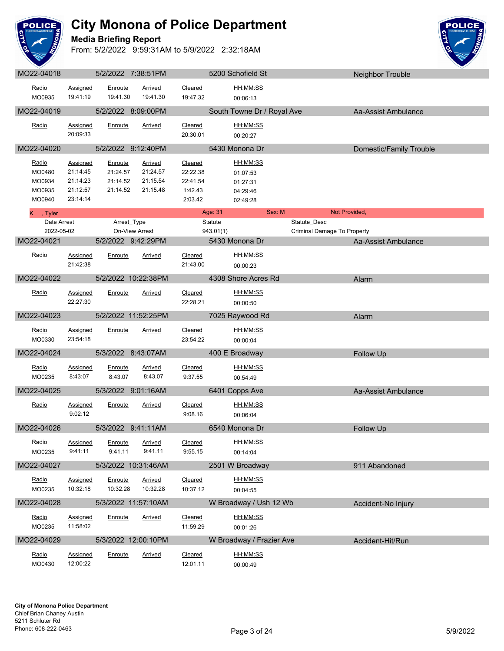

**Media Briefing Report**



| MO22-04018       |                             |                      | 5/2/2022 7:38:51PM   |                      | 5200 Schofield St          |                             | Neighbor Trouble        |
|------------------|-----------------------------|----------------------|----------------------|----------------------|----------------------------|-----------------------------|-------------------------|
| Radio            | Assigned                    | Enroute              | Arrived              | Cleared              | HH:MM:SS                   |                             |                         |
| MO0935           | 19:41:19                    | 19:41.30             | 19:41.30             | 19:47.32             | 00:06:13                   |                             |                         |
| MO22-04019       |                             |                      | 5/2/2022 8:09:00PM   |                      | South Towne Dr / Royal Ave |                             | Aa-Assist Ambulance     |
| Radio            |                             |                      | Arrived              | Cleared              | HH:MM:SS                   |                             |                         |
|                  | <b>Assigned</b><br>20:09:33 | Enroute              |                      | 20:30.01             | 00:20:27                   |                             |                         |
| MO22-04020       |                             |                      | 5/2/2022 9:12:40PM   |                      |                            |                             |                         |
|                  |                             |                      |                      |                      | 5430 Monona Dr             |                             | Domestic/Family Trouble |
| Radio            | Assigned                    | Enroute              | <b>Arrived</b>       | Cleared              | HH:MM:SS                   |                             |                         |
| MO0480<br>MO0934 | 21:14:45<br>21:14:23        | 21:24.57<br>21:14.52 | 21:24.57<br>21:15.54 | 22:22.38<br>22:41.54 | 01:07:53                   |                             |                         |
| MO0935           | 21:12:57                    | 21:14.52             | 21:15.48             | 1:42.43              | 01:27:31<br>04:29:46       |                             |                         |
| MO0940           | 23:14:14                    |                      |                      | 2:03.42              | 02:49:28                   |                             |                         |
| K, Tyler         |                             |                      |                      |                      | Age: 31<br>Sex: M          | Not Provided,               |                         |
| Date Arrest      |                             |                      | <b>Arrest Type</b>   |                      | <b>Statute</b>             | <b>Statute Desc</b>         |                         |
| 2022-05-02       |                             |                      | On-View Arrest       |                      | 943.01(1)                  | Criminal Damage To Property |                         |
| MO22-04021       |                             |                      | 5/2/2022 9:42:29PM   |                      | 5430 Monona Dr             |                             | Aa-Assist Ambulance     |
| Radio            | <b>Assigned</b>             | Enroute              | Arrived              | Cleared              | HH:MM:SS                   |                             |                         |
|                  | 21:42:38                    |                      |                      | 21:43.00             | 00:00:23                   |                             |                         |
| MO22-04022       |                             |                      | 5/2/2022 10:22:38PM  |                      | 4308 Shore Acres Rd        |                             | Alarm                   |
| Radio            | <b>Assigned</b>             | Enroute              | <b>Arrived</b>       | Cleared              | HH:MM:SS                   |                             |                         |
|                  | 22:27:30                    |                      |                      | 22:28.21             | 00:00:50                   |                             |                         |
| MO22-04023       |                             |                      | 5/2/2022 11:52:25PM  |                      | 7025 Raywood Rd            |                             | Alarm                   |
|                  |                             |                      |                      |                      |                            |                             |                         |
| Radio<br>MO0330  | Assigned<br>23:54:18        | Enroute              | <b>Arrived</b>       | Cleared<br>23:54.22  | HH:MM:SS<br>00:00:04       |                             |                         |
|                  |                             |                      |                      |                      |                            |                             |                         |
| MO22-04024       |                             |                      | 5/3/2022 8:43:07AM   |                      | 400 E Broadway             |                             | Follow Up               |
| Radio            | <b>Assigned</b>             | Enroute              | <b>Arrived</b>       | Cleared              | HH:MM:SS                   |                             |                         |
| MO0235           | 8:43:07                     | 8:43.07              | 8:43.07              | 9:37.55              | 00:54:49                   |                             |                         |
| MO22-04025       |                             |                      | 5/3/2022 9:01:16AM   |                      | 6401 Copps Ave             |                             | Aa-Assist Ambulance     |
| Radio            | <b>Assigned</b>             | Enroute              | <b>Arrived</b>       | Cleared              | HH:MM:SS                   |                             |                         |
|                  | 9:02:12                     |                      |                      | 9:08.16              | 00:06:04                   |                             |                         |
| MO22-04026       |                             |                      | 5/3/2022 9:41:11AM   |                      | 6540 Monona Dr             |                             | Follow Up               |
| Radio            | Assigned                    | Enroute              | Arrived              | Cleared              | HH:MM:SS                   |                             |                         |
| MO0235           | 9:41:11                     | 9:41.11              | 9:41.11              | 9:55.15              | 00:14:04                   |                             |                         |
| MO22-04027       |                             |                      | 5/3/2022 10:31:46AM  |                      | 2501 W Broadway            |                             | 911 Abandoned           |
|                  |                             |                      |                      |                      |                            |                             |                         |
| Radio            | Assigned                    | Enroute              | <b>Arrived</b>       | Cleared              | HH:MM:SS                   |                             |                         |
| MO0235           | 10:32:18                    | 10:32.28             | 10:32.28             | 10:37.12             | 00:04:55                   |                             |                         |
| MO22-04028       |                             |                      | 5/3/2022 11:57:10AM  |                      | W Broadway / Ush 12 Wb     |                             | Accident-No Injury      |
| Radio            | <b>Assigned</b>             | Enroute              | <b>Arrived</b>       | Cleared              | HH:MM:SS                   |                             |                         |
| MO0235           | 11:58:02                    |                      |                      | 11:59.29             | 00:01:26                   |                             |                         |
| MO22-04029       |                             |                      | 5/3/2022 12:00:10PM  |                      | W Broadway / Frazier Ave   |                             | Accident-Hit/Run        |
| Radio            | Assigned                    | Enroute              | <b>Arrived</b>       | Cleared              | HH:MM:SS                   |                             |                         |
| MO0430           | 12:00:22                    |                      |                      | 12:01.11             | 00:00:49                   |                             |                         |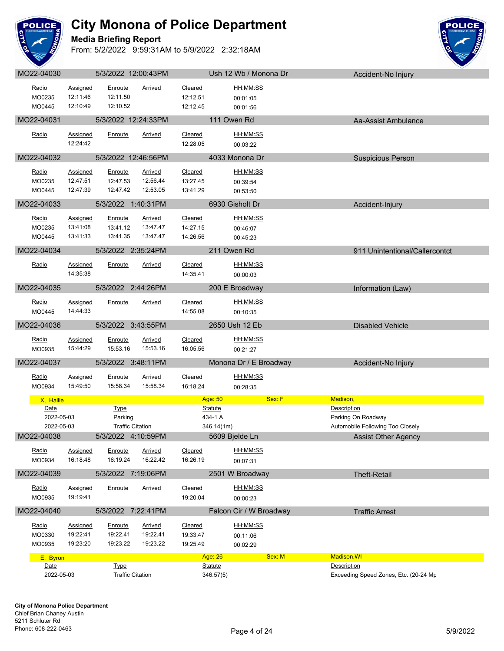

**Media Briefing Report**



| MO22-04030 |                 | 5/3/2022 12:00:43PM                    |                     |                      | Ush 12 Wb / Monona Dr   | Accident-No Injury                                   |
|------------|-----------------|----------------------------------------|---------------------|----------------------|-------------------------|------------------------------------------------------|
| Radio      | <b>Assigned</b> | Enroute                                | <b>Arrived</b>      | Cleared              | HH:MM:SS                |                                                      |
| MO0235     | 12:11:46        | 12:11.50                               |                     | 12:12.51             | 00:01:05                |                                                      |
| MO0445     | 12:10:49        | 12:10.52                               |                     | 12:12.45             | 00:01:56                |                                                      |
|            |                 |                                        |                     |                      |                         |                                                      |
| MO22-04031 |                 | 5/3/2022 12:24:33PM                    |                     |                      | 111 Owen Rd             | Aa-Assist Ambulance                                  |
| Radio      | Assigned        | Enroute                                | Arrived             | Cleared              | HH:MM:SS                |                                                      |
|            | 12:24:42        |                                        |                     | 12:28.05             | 00:03:22                |                                                      |
| MO22-04032 |                 | 5/3/2022 12:46:56PM                    |                     |                      | 4033 Monona Dr          | <b>Suspicious Person</b>                             |
|            |                 |                                        |                     |                      |                         |                                                      |
| Radio      | Assigned        | Enroute                                | <b>Arrived</b>      | Cleared              | HH:MM:SS                |                                                      |
| MO0235     | 12:47:51        | 12:47.53                               | 12:56.44            | 13:27.45             | 00:39:54                |                                                      |
| MO0445     | 12:47:39        | 12:47.42                               | 12:53.05            | 13:41.29             | 00:53:50                |                                                      |
| MO22-04033 |                 | 5/3/2022 1:40:31PM                     |                     |                      | 6930 Gisholt Dr         | Accident-Injury                                      |
| Radio      | Assigned        | Enroute                                | <b>Arrived</b>      | Cleared              | HH:MM:SS                |                                                      |
| MO0235     | 13:41:08        | 13:41.12                               | 13:47.47            | 14:27.15             |                         |                                                      |
| MO0445     | 13:41:33        | 13:41.35                               | 13:47.47            | 14:26.56             | 00:46:07                |                                                      |
|            |                 |                                        |                     |                      | 00:45:23                |                                                      |
| MO22-04034 |                 | 5/3/2022 2:35:24PM                     |                     |                      | 211 Owen Rd             | 911 Unintentional/Callercontct                       |
| Radio      | <b>Assigned</b> | Enroute                                | Arrived             | Cleared              | HH:MM:SS                |                                                      |
|            | 14:35:38        |                                        |                     | 14:35.41             | 00:00:03                |                                                      |
|            |                 |                                        |                     |                      |                         |                                                      |
| MO22-04035 |                 | 5/3/2022 2:44:26PM                     |                     |                      | 200 E Broadway          | Information (Law)                                    |
| Radio      | Assigned        | Enroute                                | Arrived             | Cleared              | HH:MM:SS                |                                                      |
| MO0445     | 14:44:33        |                                        |                     | 14:55.08             | 00:10:35                |                                                      |
| MO22-04036 |                 | 5/3/2022 3:43:55PM                     |                     |                      | 2650 Ush 12 Eb          | <b>Disabled Vehicle</b>                              |
|            |                 |                                        |                     |                      |                         |                                                      |
| Radio      | <b>Assigned</b> | Enroute                                | <b>Arrived</b>      | Cleared              | HH:MM:SS                |                                                      |
| MO0935     | 15:44:29        | 15:53.16                               | 15:53.16            | 16:05.56             | 00:21:27                |                                                      |
| MO22-04037 |                 | 5/3/2022 3:48:11PM                     |                     |                      | Monona Dr / E Broadway  | Accident-No Injury                                   |
| Radio      | Assigned        | Enroute                                | <b>Arrived</b>      | Cleared              | HH:MM:SS                |                                                      |
| MO0934     | 15:49:50        | 15:58.34                               | 15:58.34            | 16:18.24             | 00:28:35                |                                                      |
| X, Hallie  |                 |                                        |                     | Age: 50              | Sex: F                  | Madison,                                             |
| Date       |                 | <b>Type</b>                            |                     | <b>Statute</b>       |                         | <b>Description</b>                                   |
| 2022-05-03 |                 | Parking                                |                     | 434-1 A              |                         | Parking On Roadway                                   |
| 2022-05-03 |                 | <b>Traffic Citation</b>                |                     | 346.14(1m)           |                         | Automobile Following Too Closely                     |
| MO22-04038 |                 | 5/3/2022 4:10:59PM                     |                     |                      | 5609 Bjelde Ln          | <b>Assist Other Agency</b>                           |
|            |                 |                                        |                     |                      |                         |                                                      |
| Radio      | Assigned        | Enroute                                | Arrived<br>16:22.42 | Cleared              | HH:MM:SS                |                                                      |
| MO0934     | 16:18:48        | 16:19.24                               |                     | 16:26.19             | 00:07:31                |                                                      |
| MO22-04039 |                 | 5/3/2022 7:19:06PM                     |                     |                      | 2501 W Broadway         | <b>Theft-Retail</b>                                  |
| Radio      | Assigned        | Enroute                                | <b>Arrived</b>      | Cleared              | HH:MM:SS                |                                                      |
| MO0935     | 19:19:41        |                                        |                     | 19:20.04             | 00:00:23                |                                                      |
| MO22-04040 |                 | 5/3/2022 7:22:41PM                     |                     |                      | Falcon Cir / W Broadway | <b>Traffic Arrest</b>                                |
|            |                 |                                        |                     |                      |                         |                                                      |
| Radio      | <b>Assigned</b> | Enroute                                | <b>Arrived</b>      | Cleared              | HH:MM:SS                |                                                      |
| MO0330     | 19:22:41        | 19:22.41                               | 19:22.41            | 19:33.47             | 00:11:06                |                                                      |
| MO0935     |                 |                                        |                     |                      |                         |                                                      |
|            | 19:23:20        | 19:23.22                               | 19:23.22            | 19:25.49             | 00:02:29                |                                                      |
| E, Byron   |                 |                                        |                     | Age: 26              | Sex: M                  | <b>Madison, WI</b>                                   |
| Date       |                 | <b>Type</b><br><b>Traffic Citation</b> |                     | Statute<br>346.57(5) |                         | Description<br>Exceeding Speed Zones, Etc. (20-24 Mp |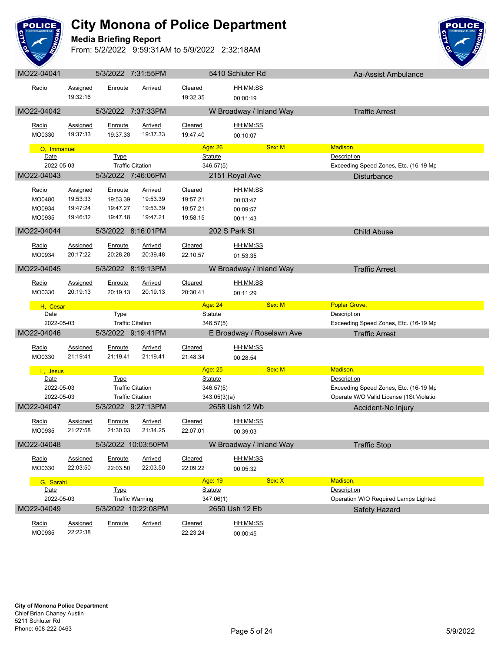

**Media Briefing Report**



| <u>Radio</u>             | Assigned<br>19:32:16        | Enroute                 | <b>Arrived</b>             | <b>Cleared</b><br>19:32.35 | HH:MM:SS<br>00:00:19      |        |                                          |
|--------------------------|-----------------------------|-------------------------|----------------------------|----------------------------|---------------------------|--------|------------------------------------------|
| MO22-04042               |                             | 5/3/2022 7:37:33PM      |                            |                            | W Broadway / Inland Way   |        | <b>Traffic Arrest</b>                    |
| Radio<br>MO0330          | <b>Assigned</b><br>19:37:33 | Enroute<br>19:37.33     | <b>Arrived</b><br>19:37.33 | Cleared<br>19:47.40        | HH:MM:SS<br>00:10:07      |        |                                          |
| O, Immanuel              |                             |                         |                            | Age: 26                    |                           | Sex: M | Madison,                                 |
| Date                     |                             | <b>Type</b>             |                            | <b>Statute</b>             |                           |        | Description                              |
| 2022-05-03               |                             | <b>Traffic Citation</b> |                            | 346.57(5)                  |                           |        | Exceeding Speed Zones, Etc. (16-19 Mp    |
| MO22-04043               |                             | 5/3/2022 7:46:06PM      |                            |                            | 2151 Royal Ave            |        | <b>Disturbance</b>                       |
| Radio                    | Assigned                    | Enroute                 | Arrived                    | Cleared                    | HH:MM:SS                  |        |                                          |
| MO0480                   | 19:53:33                    | 19:53.39                | 19:53.39<br>19:53.39       | 19:57.21                   | 00:03:47                  |        |                                          |
| MO0934<br>MO0935         | 19:47:24<br>19:46:32        | 19:47.27<br>19:47.18    | 19:47.21                   | 19:57.21<br>19:58.15       | 00:09:57<br>00:11:43      |        |                                          |
|                          |                             |                         |                            |                            |                           |        |                                          |
| MO22-04044               |                             | 5/3/2022 8:16:01PM      |                            |                            | 202 S Park St             |        | <b>Child Abuse</b>                       |
| Radio                    | Assigned                    | Enroute                 | <b>Arrived</b>             | Cleared                    | HH:MM:SS                  |        |                                          |
| MO0934                   | 20:17:22                    | 20:28.28                | 20:39.48                   | 22:10.57                   | 01:53:35                  |        |                                          |
| MO22-04045               |                             | 5/3/2022 8:19:13PM      |                            |                            | W Broadway / Inland Way   |        | <b>Traffic Arrest</b>                    |
| Radio                    | <b>Assigned</b>             | Enroute                 | <b>Arrived</b>             | Cleared                    | HH:MM:SS                  |        |                                          |
| MO0330                   | 20:19:13                    | 20:19.13                | 20:19.13                   | 20:30.41                   | 00:11:29                  |        |                                          |
| H, Cesar                 |                             |                         |                            | Age: 24                    |                           | Sex: M | <b>Poplar Grove,</b>                     |
| Date                     |                             | Type                    |                            | <b>Statute</b>             |                           |        | Description                              |
| 2022-05-03               |                             | <b>Traffic Citation</b> |                            | 346.57(5)                  |                           |        | Exceeding Speed Zones, Etc. (16-19 Mp    |
| MO22-04046               |                             | 5/3/2022 9:19:41PM      |                            |                            | E Broadway / Roselawn Ave |        | <b>Traffic Arrest</b>                    |
| Radio<br>MO0330          | <b>Assigned</b><br>21:19:41 | Enroute<br>21:19.41     | <b>Arrived</b><br>21:19.41 | Cleared<br>21:48.34        | HH:MM:SS<br>00:28:54      |        |                                          |
| L. Jesus                 |                             |                         |                            | Age: 25                    |                           | Sex: M | Madison,                                 |
| <b>Date</b>              |                             | Type                    |                            | <u>Statute</u>             |                           |        | Description                              |
| 2022-05-03               |                             | <b>Traffic Citation</b> |                            | 346.57(5)                  |                           |        | Exceeding Speed Zones, Etc. (16-19 Mp    |
| 2022-05-03<br>MO22-04047 |                             | <b>Traffic Citation</b> |                            | 343.05(3)(a)               |                           |        | Operate W/O Valid License (1St Violation |
|                          |                             | 5/3/2022 9:27:13PM      |                            |                            | 2658 Ush 12 Wb            |        | Accident-No Injury                       |
| Radio                    | <b>Assigned</b>             | Enroute                 | <b>Arrived</b>             | Cleared                    | HH:MM:SS                  |        |                                          |
| MO0935                   | 21:27:58                    | 21:30.03                | 21:34.25                   | 22:07.01                   | 00:39:03                  |        |                                          |
| MO22-04048               |                             | 5/3/2022 10:03:50PM     |                            |                            | W Broadway / Inland Way   |        | <b>Traffic Stop</b>                      |
| Radio                    | Assigned                    | Enroute                 | Arrived                    | Cleared                    | HH:MM:SS                  |        |                                          |
| MO0330                   | 22:03:50                    | 22:03.50                | 22:03.50                   | 22:09.22                   | 00:05:32                  |        |                                          |
| G, Sarahi                |                             |                         |                            | Age: 19                    |                           | Sex: X | Madison,                                 |
| Date                     |                             | <b>Type</b>             |                            | Statute                    |                           |        | Description                              |
| 2022-05-03               |                             |                         | <b>Traffic Warning</b>     | 347.06(1)                  |                           |        | Operation W/O Required Lamps Lighted     |
| MO22-04049               |                             | 5/3/2022 10:22:08PM     |                            |                            | 2650 Ush 12 Eb            |        | Safety Hazard                            |
| Radio<br>MO0935          | <b>Assigned</b><br>22:22:38 | Enroute                 | <b>Arrived</b>             | Cleared<br>22:23.24        | HH:MM:SS<br>00:00:45      |        |                                          |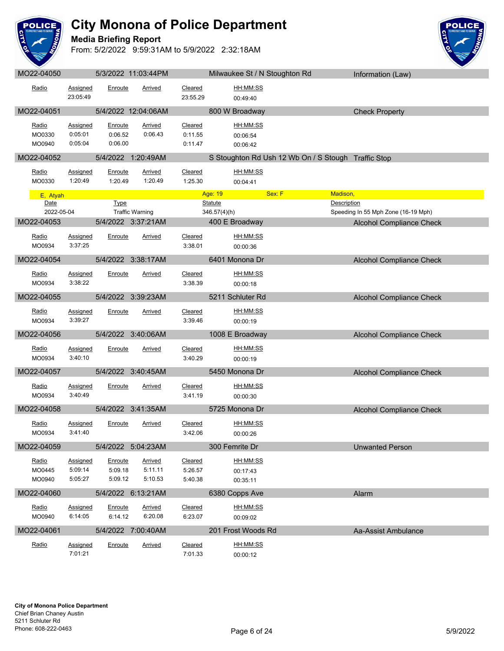

**Media Briefing Report**



| Radio                     | <b>Assigned</b><br>23:05:49           | Enroute                              | Arrived                              | Cleared<br>23:55.29           | HH:MM:SS<br>00:49:40             |                                                           |
|---------------------------|---------------------------------------|--------------------------------------|--------------------------------------|-------------------------------|----------------------------------|-----------------------------------------------------------|
| MO22-04051                |                                       |                                      | 5/4/2022 12:04:06AM                  |                               | 800 W Broadway                   | <b>Check Property</b>                                     |
| Radio<br>MO0330<br>MO0940 | <b>Assigned</b><br>0:05:01<br>0:05:04 | <u>Enroute</u><br>0:06.52<br>0:06.00 | <b>Arrived</b><br>0:06.43            | Cleared<br>0:11.55<br>0:11.47 | HH:MM:SS<br>00:06:54<br>00:06:42 |                                                           |
| MO22-04052                |                                       |                                      | 5/4/2022 1:20:49AM                   |                               |                                  | S Stoughton Rd Ush 12 Wb On / S Stough Traffic Stop       |
| Radio<br>MO0330           | <b>Assigned</b><br>1:20:49            | Enroute<br>1:20.49                   | <b>Arrived</b><br>1:20.49            | Cleared<br>1:25.30            | HH:MM:SS<br>00:04:41             |                                                           |
| E, Atyah                  |                                       |                                      |                                      |                               | Age: 19                          | Sex: F<br>Madison,                                        |
| Date<br>2022-05-04        |                                       | <b>Type</b>                          | <b>Traffic Warning</b>               |                               | <b>Statute</b><br>346.57(4)(h)   | <b>Description</b><br>Speeding In 55 Mph Zone (16-19 Mph) |
| MO22-04053                |                                       |                                      | 5/4/2022 3:37:21AM                   |                               | 400 E Broadway                   | <b>Alcohol Compliance Check</b>                           |
| Radio<br>MO0934           | Assigned<br>3:37:25                   | Enroute                              | Arrived                              | Cleared<br>3:38.01            | HH:MM:SS<br>00:00:36             |                                                           |
| MO22-04054                |                                       |                                      | 5/4/2022 3:38:17AM                   |                               | 6401 Monona Dr                   | <b>Alcohol Compliance Check</b>                           |
| Radio<br>MO0934           | <b>Assigned</b><br>3:38:22            | Enroute                              | Arrived                              | <b>Cleared</b><br>3:38.39     | HH:MM:SS<br>00:00:18             |                                                           |
| MO22-04055                |                                       |                                      | 5/4/2022 3:39:23AM                   |                               | 5211 Schluter Rd                 | <b>Alcohol Compliance Check</b>                           |
| Radio<br>MO0934           | <b>Assigned</b><br>3:39:27            | Enroute                              | <b>Arrived</b>                       | Cleared<br>3:39.46            | HH:MM:SS<br>00:00:19             |                                                           |
| MO22-04056                |                                       |                                      | 5/4/2022 3:40:06AM                   |                               | 1008 E Broadway                  | <b>Alcohol Compliance Check</b>                           |
| Radio<br>MO0934           | Assigned<br>3:40:10                   | Enroute                              | Arrived                              | Cleared<br>3:40.29            | HH:MM:SS<br>00:00:19             |                                                           |
| MO22-04057                |                                       |                                      | 5/4/2022 3:40:45AM                   |                               | 5450 Monona Dr                   | <b>Alcohol Compliance Check</b>                           |
| Radio<br>MO0934           | <b>Assigned</b><br>3:40:49            | Enroute                              | <b>Arrived</b>                       | Cleared<br>3:41.19            | HH:MM:SS<br>00:00:30             |                                                           |
| MO22-04058                |                                       |                                      | 5/4/2022 3:41:35AM                   |                               | 5725 Monona Dr                   | <b>Alcohol Compliance Check</b>                           |
| Radio<br>MO0934           | Assigned<br>3:41:40                   | Enroute                              | Arrived                              | Cleared<br>3:42.06            | HH:MM:SS<br>00:00:26             |                                                           |
| MO22-04059                |                                       | 5/4/2022                             | 5:04:23AM                            |                               | 300 Femrite Dr                   | Unwanted Person                                           |
| Radio<br>MO0445<br>MO0940 | Assigned<br>5:09:14<br>5:05:27        | Enroute<br>5:09.18<br>5:09.12        | <b>Arrived</b><br>5:11.11<br>5:10.53 | Cleared<br>5:26.57<br>5:40.38 | HH:MM:SS<br>00:17:43<br>00:35:11 |                                                           |
| MO22-04060                |                                       |                                      | 5/4/2022 6:13:21AM                   |                               | 6380 Copps Ave                   | Alarm                                                     |
| Radio<br>MO0940           | Assigned<br>6:14:05                   | Enroute<br>6:14.12                   | <b>Arrived</b><br>6:20.08            | Cleared<br>6:23.07            | HH:MM:SS<br>00:09:02             |                                                           |
| MO22-04061                |                                       |                                      | 5/4/2022 7:00:40AM                   |                               | 201 Frost Woods Rd               | Aa-Assist Ambulance                                       |
| Radio                     | Assigned<br>7:01:21                   | Enroute                              | <b>Arrived</b>                       | Cleared<br>7:01.33            | <u>HH:MM:SS</u><br>00:00:12      |                                                           |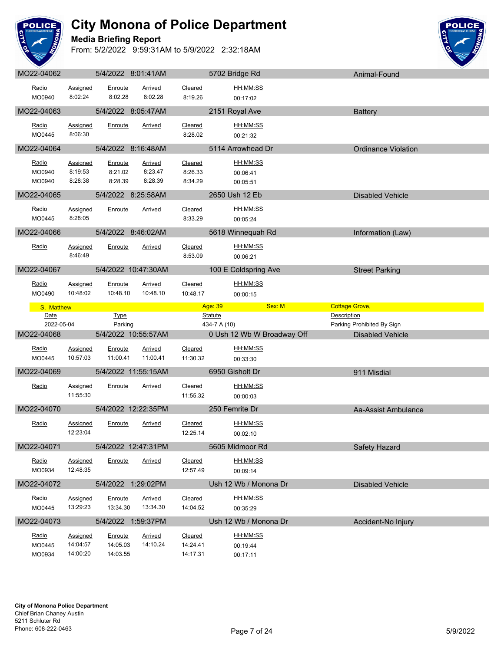

**Media Briefing Report**



| Radio<br>MO0940    | Assigned<br>8:02:24  | Enroute<br>8:02.28   | <b>Arrived</b><br>8:02.28 | Cleared<br>8:19.26    | HH:MM:SS<br>00:17:02                                                |                                      |  |
|--------------------|----------------------|----------------------|---------------------------|-----------------------|---------------------------------------------------------------------|--------------------------------------|--|
|                    |                      |                      |                           |                       |                                                                     |                                      |  |
| MO22-04063         |                      | 5/4/2022 8:05:47AM   |                           |                       | 2151 Royal Ave                                                      | <b>Battery</b>                       |  |
| Radio              | Assigned             | Enroute              | <b>Arrived</b>            | Cleared               | HH:MM:SS                                                            |                                      |  |
| MO0445             | 8:06:30              |                      |                           | 8:28.02               | 00:21:32                                                            |                                      |  |
| MO22-04064         |                      | 5/4/2022 8:16:48AM   |                           |                       | 5114 Arrowhead Dr                                                   | <b>Ordinance Violation</b>           |  |
| Radio              | Assigned             | Enroute              | Arrived                   | Cleared               | HH:MM:SS                                                            |                                      |  |
| MO0940             | 8:19:53              | 8:21.02              | 8:23.47                   | 8:26.33               | 00:06:41                                                            |                                      |  |
| MO0940             | 8:28:38              | 8:28.39              | 8:28.39                   | 8:34.29               | 00:05:51                                                            |                                      |  |
| MO22-04065         |                      | 5/4/2022 8:25:58AM   |                           |                       | 2650 Ush 12 Eb                                                      | <b>Disabled Vehicle</b>              |  |
| Radio              | <b>Assigned</b>      | Enroute              | Arrived                   | Cleared               | HH:MM:SS                                                            |                                      |  |
| MO0445             | 8:28:05              |                      |                           | 8:33.29               | 00:05:24                                                            |                                      |  |
| MO22-04066         |                      | 5/4/2022 8:46:02AM   |                           |                       | 5618 Winnequah Rd                                                   | Information (Law)                    |  |
| Radio              | Assigned             | Enroute              | Arrived                   | Cleared               | HH:MM:SS                                                            |                                      |  |
|                    | 8:46:49              |                      |                           | 8:53.09               | 00:06:21                                                            |                                      |  |
| MO22-04067         |                      |                      | 5/4/2022 10:47:30AM       |                       | 100 E Coldspring Ave                                                | <b>Street Parking</b>                |  |
|                    |                      |                      |                           |                       |                                                                     |                                      |  |
| Radio<br>MO0490    | Assigned<br>10:48:02 | Enroute<br>10:48.10  | Arrived<br>10:48.10       | Cleared<br>10:48.17   | HH:MM:SS                                                            |                                      |  |
|                    |                      |                      |                           |                       | 00:00:15                                                            |                                      |  |
| S, Matthew<br>Date |                      | <b>Type</b>          |                           |                       | Age: 39 <b>Contract Service Service</b><br>Sex: M<br><b>Statute</b> | <b>Cottage Grove,</b><br>Description |  |
| 2022-05-04         |                      |                      |                           |                       |                                                                     | Parking Prohibited By Sign           |  |
|                    |                      | Parking              |                           |                       | 434-7 A (10)                                                        |                                      |  |
| MO22-04068         |                      |                      | 5/4/2022 10:55:57AM       |                       | 0 Ush 12 Wb W Broadway Off                                          | <b>Disabled Vehicle</b>              |  |
| Radio              | <b>Assigned</b>      | Enroute              | Arrived                   | Cleared               | HH:MM:SS                                                            |                                      |  |
| MO0445             | 10:57:03             | 11:00.41             | 11:00.41                  | 11:30.32              | 00:33:30                                                            |                                      |  |
| MO22-04069         |                      |                      | 5/4/2022 11:55:15AM       | <u>and the second</u> | 6950 Gisholt Dr                                                     | 911 Misdial                          |  |
|                    |                      |                      |                           |                       |                                                                     |                                      |  |
| Radio              | Assigned<br>11:55:30 | Enroute              | Arrived                   | Cleared<br>11:55.32   | HH:MM:SS<br>00:00:03                                                |                                      |  |
| MO22-04070         |                      |                      | 5/4/2022 12:22:35PM       |                       | 250 Femrite Dr                                                      | Aa-Assist Ambulance                  |  |
|                    |                      |                      |                           |                       |                                                                     |                                      |  |
| Radio              | Assigned<br>12:23:04 | Enroute              | <b>Arrived</b>            | Cleared               | HH:MM:SS                                                            |                                      |  |
|                    |                      |                      |                           | 12:25.14              | 00:02:10                                                            |                                      |  |
| MO22-04071         |                      |                      | 5/4/2022 12:47:31PM       |                       | 5605 Midmoor Rd                                                     | Safety Hazard                        |  |
| Radio              | Assigned             | Enroute              | Arrived                   | Cleared               | HH:MM:SS                                                            |                                      |  |
| MO0934             | 12:48:35             |                      |                           | 12:57.49              | 00:09:14                                                            |                                      |  |
| MO22-04072         |                      | 5/4/2022 1:29:02PM   |                           |                       | Ush 12 Wb / Monona Dr                                               | <b>Disabled Vehicle</b>              |  |
| Radio              | Assigned             | Enroute              | Arrived                   | Cleared               | <u>HH:MM:SS</u>                                                     |                                      |  |
| MO0445             | 13:29:23             | 13:34.30             | 13:34.30                  | 14:04.52              | 00:35:29                                                            |                                      |  |
| MO22-04073         |                      | 5/4/2022 1:59:37PM   |                           |                       | Ush 12 Wb / Monona Dr                                               | Accident-No Injury                   |  |
| Radio              | <b>Assigned</b>      | Enroute              | <b>Arrived</b>            | Cleared               | HH:MM:SS                                                            |                                      |  |
| MO0445<br>MO0934   | 14:04:57<br>14:00:20 | 14:05.03<br>14:03.55 | 14:10.24                  | 14:24.41<br>14:17.31  | 00:19:44                                                            |                                      |  |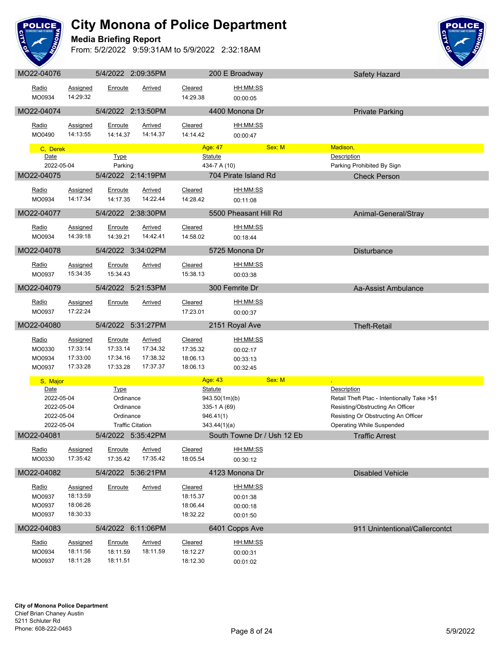

#### **Media Briefing Report**



| IVIUZZ-U4U7U     |                      | <b>UIHIZUZZ Z.UY.JUFIVI</b> |                         |                      | ZUU E DIUQUWAY             | Salety Hazard                               |
|------------------|----------------------|-----------------------------|-------------------------|----------------------|----------------------------|---------------------------------------------|
| Radio<br>MO0934  | Assigned<br>14:29:32 | Enroute                     | Arrived                 | Cleared<br>14:29.38  | HH:MM:SS<br>00:00:05       |                                             |
| MO22-04074       |                      |                             | 5/4/2022 2:13:50PM      |                      | 4400 Monona Dr             | <b>Private Parking</b>                      |
|                  |                      |                             |                         |                      |                            |                                             |
| Radio            | <b>Assigned</b>      | <b>Enroute</b>              | Arrived                 | Cleared              | HH:MM:SS                   |                                             |
| MO0490           | 14:13:55             | 14:14.37                    | 14:14.37                | 14:14.42             | 00:00:47                   |                                             |
|                  |                      |                             |                         | Age: 47              | Sex: M                     | Madison,                                    |
| C, Derek<br>Date |                      | <b>Type</b>                 |                         | <b>Statute</b>       |                            | Description                                 |
| 2022-05-04       |                      | Parking                     |                         |                      | 434-7 A (10)               | Parking Prohibited By Sign                  |
|                  |                      |                             |                         |                      |                            |                                             |
| MO22-04075       |                      |                             | 5/4/2022 2:14:19PM      |                      | 704 Pirate Island Rd       | <b>Check Person</b>                         |
| Radio            | <b>Assigned</b>      | Enroute                     | Arrived                 | Cleared              | <u>HH:MM:SS</u>            |                                             |
| MO0934           | 14:17:34             | 14:17.35                    | 14:22.44                | 14:28.42             | 00:11:08                   |                                             |
|                  |                      |                             |                         |                      |                            |                                             |
| MO22-04077       |                      |                             | 5/4/2022 2:38:30PM      |                      | 5500 Pheasant Hill Rd      | Animal-General/Stray                        |
| Radio            | <b>Assigned</b>      | <b>Enroute</b>              | <b>Arrived</b>          | Cleared              | HH:MM:SS                   |                                             |
| MO0934           | 14:39:18             | 14:39.21                    | 14:42.41                | 14:58.02             | 00:18:44                   |                                             |
|                  |                      |                             |                         |                      |                            |                                             |
| MO22-04078       |                      |                             | 5/4/2022 3:34:02PM      |                      | 5725 Monona Dr             | Disturbance                                 |
| Radio            | Assigned             | Enroute                     | Arrived                 | Cleared              | HH:MM:SS                   |                                             |
| MO0937           | 15:34:35             | 15:34.43                    |                         | 15:38.13             | 00:03:38                   |                                             |
|                  |                      |                             |                         |                      |                            |                                             |
| MO22-04079       |                      |                             | 5/4/2022 5:21:53PM      |                      | 300 Femrite Dr             | Aa-Assist Ambulance                         |
| Radio            | Assigned             | Enroute                     | <u>Arrived</u>          | Cleared              | <u>HH:MM:SS</u>            |                                             |
| MO0937           | 17:22:24             |                             |                         | 17:23.01             | 00:00:37                   |                                             |
|                  |                      |                             |                         |                      |                            |                                             |
|                  |                      |                             |                         |                      |                            |                                             |
| MO22-04080       |                      |                             | 5/4/2022 5:31:27PM      |                      | 2151 Royal Ave             | <b>Theft-Retail</b>                         |
| Radio            | <b>Assigned</b>      | Enroute                     | <b>Arrived</b>          | Cleared              | HH:MM:SS                   |                                             |
| MO0330           | 17:33:14             | 17:33.14                    | 17:34.32                | 17:35.32             | 00:02:17                   |                                             |
| MO0934           | 17:33:00             | 17:34.16                    | 17:38.32                | 18:06.13             |                            |                                             |
| MO0937           | 17:33:28             | 17:33.28                    | 17:37.37                | 18:06.13             | 00:33:13<br>00:32:45       |                                             |
|                  |                      |                             |                         |                      |                            |                                             |
| S, Major         |                      |                             |                         | Age: 43              | Sex: M                     |                                             |
| Date             |                      | <b>Type</b>                 |                         | <b>Statute</b>       |                            | <b>Description</b>                          |
| 2022-05-04       |                      | Ordinance                   |                         |                      | 943.50(1m)(b)              | Retail Theft Ptac - Intentionally Take >\$1 |
| 2022-05-04       |                      | Ordinance                   |                         |                      | 335-1 A (69)               | Resisting/Obstructing An Officer            |
| 2022-05-04       |                      | Ordinance                   |                         | 946.41(1)            |                            | Resisting Or Obstructing An Officer         |
| 2022-05-04       |                      |                             | <b>Traffic Citation</b> |                      | 343.44(1)(a)               | <b>Operating While Suspended</b>            |
| MO22-04081       |                      |                             | 5/4/2022 5:35:42PM      |                      | South Towne Dr / Ush 12 Eb | <b>Traffic Arrest</b>                       |
| Radio            | <b>Assigned</b>      | Enroute                     | <b>Arrived</b>          | Cleared              | HH:MM:SS                   |                                             |
| MO0330           | 17:35:42             | 17:35.42                    | 17:35.42                | 18:05.54             |                            |                                             |
|                  |                      |                             |                         |                      | 00:30:12                   |                                             |
| MO22-04082       |                      |                             | 5/4/2022 5:36:21PM      |                      | 4123 Monona Dr             | <b>Disabled Vehicle</b>                     |
| Radio            | Assigned             | Enroute                     | Arrived                 | Cleared              | HH:MM:SS                   |                                             |
| MO0937           | 18:13:59             |                             |                         | 18:15.37             | 00:01:38                   |                                             |
| MO0937           | 18:06:26             |                             |                         | 18:06.44             | 00:00:18                   |                                             |
| MO0937           | 18:30:33             |                             |                         | 18:32.22             | 00:01:50                   |                                             |
| MO22-04083       |                      |                             | 5/4/2022 6:11:06PM      |                      | 6401 Copps Ave             | 911 Unintentional/Callercontct              |
|                  |                      |                             |                         |                      |                            |                                             |
| Radio            | <b>Assigned</b>      | Enroute                     | <b>Arrived</b>          | <b>Cleared</b>       | HH:MM:SS                   |                                             |
| MO0934<br>MO0937 | 18:11:56<br>18:11:28 | 18:11.59<br>18:11.51        | 18:11.59                | 18:12.27<br>18:12.30 | 00:00:31<br>00:01:02       |                                             |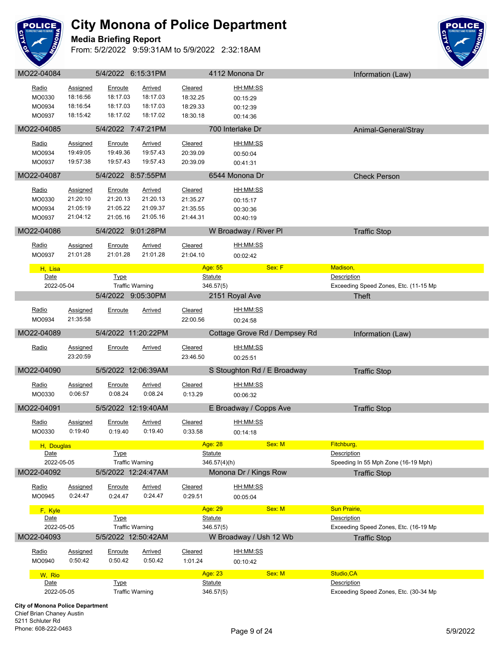

**Media Briefing Report**



|            |                 |                        | 5/4/2022 6:15:31PM |                | 4112 Monona Dr                | Information (Law)                     |
|------------|-----------------|------------------------|--------------------|----------------|-------------------------------|---------------------------------------|
|            |                 |                        |                    |                |                               |                                       |
| Radio      | Assigned        | Enroute                | Arrived            | Cleared        | HH:MM:SS                      |                                       |
| MO0330     | 18:16:56        | 18:17.03               | 18:17.03           | 18:32.25       | 00:15:29                      |                                       |
| MO0934     | 18:16:54        | 18:17.03               | 18:17.03           | 18:29.33       | 00:12:39                      |                                       |
| MO0937     | 18:15:42        | 18:17.02               | 18:17.02           | 18:30.18       | 00:14:36                      |                                       |
|            |                 |                        |                    |                |                               |                                       |
| MO22-04085 |                 | 5/4/2022 7:47:21PM     |                    |                | 700 Interlake Dr              | Animal-General/Stray                  |
| Radio      | Assigned        | Enroute                | <b>Arrived</b>     | Cleared        | HH:MM:SS                      |                                       |
| MO0934     | 19:49:05        | 19:49.36               | 19:57.43           | 20:39.09       | 00:50:04                      |                                       |
| MO0937     | 19:57:38        | 19:57.43               | 19:57.43           | 20:39.09       | 00:41:31                      |                                       |
|            |                 |                        |                    |                |                               |                                       |
| MO22-04087 |                 | 5/4/2022 8:57:55PM     |                    |                | 6544 Monona Dr                | <b>Check Person</b>                   |
|            |                 |                        |                    |                |                               |                                       |
| Radio      | Assigned        | Enroute                | <b>Arrived</b>     | Cleared        | HH:MM:SS                      |                                       |
| MO0330     | 21:20:10        | 21:20.13               | 21:20.13           | 21:35.27       | 00:15:17                      |                                       |
| MO0934     | 21:05:19        | 21:05.22               | 21:09.37           | 21:35.55       | 00:30:36                      |                                       |
| MO0937     | 21:04:12        | 21:05.16               | 21:05.16           | 21:44.31       | 00:40:19                      |                                       |
| MO22-04086 |                 | 5/4/2022 9:01:28PM     |                    |                | W Broadway / River PI         | <b>Traffic Stop</b>                   |
|            |                 |                        |                    |                |                               |                                       |
| Radio      | Assigned        | Enroute                | Arrived            | Cleared        | HH:MM:SS                      |                                       |
| MO0937     | 21:01:28        | 21:01.28               | 21:01.28           | 21:04.10       | 00:02:42                      |                                       |
|            |                 |                        |                    |                |                               |                                       |
| H, Lisa    |                 |                        |                    | Age: 55        | Sex: F                        | Madison,                              |
| Date       |                 | <b>Type</b>            |                    | <b>Statute</b> |                               | Description                           |
| 2022-05-04 |                 | <b>Traffic Warning</b> |                    | 346.57(5)      |                               | Exceeding Speed Zones, Etc. (11-15 Mp |
|            |                 | 5/4/2022 9:05:30PM     |                    |                | 2151 Royal Ave                | Theft                                 |
| Radio      | <b>Assigned</b> | Enroute                | <b>Arrived</b>     | Cleared        | HH:MM:SS                      |                                       |
|            | 21:35:58        |                        |                    |                |                               |                                       |
| MO0934     |                 |                        |                    | 22:00.56       | 00:24:58                      |                                       |
| MO22-04089 |                 | 5/4/2022 11:20:22PM    |                    |                | Cottage Grove Rd / Dempsey Rd | Information (Law)                     |
|            |                 |                        |                    |                |                               |                                       |
| Radio      | <b>Assigned</b> | Enroute                | <b>Arrived</b>     | Cleared        | HH:MM:SS                      |                                       |
|            | 23:20:59        |                        |                    | 23:46.50       | 00:25:51                      |                                       |
| MO22-04090 |                 |                        |                    |                | S Stoughton Rd / E Broadway   | <b>Traffic Stop</b>                   |
|            |                 |                        |                    |                |                               |                                       |
|            |                 | 5/5/2022 12:06:39AM    |                    |                |                               |                                       |
| Radio      | <b>Assigned</b> | Enroute                | <b>Arrived</b>     | Cleared        | HH:MM:SS                      |                                       |
| MO0330     | 0:06:57         | 0:08.24                | 0:08.24            | 0:13.29        | 00:06:32                      |                                       |
|            |                 |                        |                    |                |                               |                                       |
| MO22-04091 |                 | 5/5/2022 12:19:40AM    |                    |                | E Broadway / Copps Ave        | <b>Traffic Stop</b>                   |
|            |                 |                        |                    |                |                               |                                       |
| Radio      | <u>Assigned</u> | <b>Enroute</b>         | <b>Arrived</b>     | Cleared        | HH:MM:SS                      |                                       |
| MO0330     | 0:19:40         | 0:19.40                | 0:19.40            | 0:33.58        | 00:14:18                      |                                       |
| H, Douglas |                 |                        |                    | Age: 28        | Sex: M                        | Fitchburg,                            |
| Date       |                 | <b>Type</b>            |                    | Statute        |                               | Description                           |
| 2022-05-05 |                 | <b>Traffic Warning</b> |                    | 346.57(4)(h)   |                               | Speeding In 55 Mph Zone (16-19 Mph)   |
| MO22-04092 |                 | 5/5/2022 12:24:47AM    |                    |                | Monona Dr / Kings Row         |                                       |
|            |                 |                        |                    |                |                               | <b>Traffic Stop</b>                   |
| Radio      | <b>Assigned</b> | Enroute                | <b>Arrived</b>     | Cleared        | HH:MM:SS                      |                                       |
| MO0945     | 0:24:47         | 0:24.47                | 0:24.47            | 0:29.51        | 00:05:04                      |                                       |
|            |                 |                        |                    |                |                               |                                       |
| F, Kyle    |                 |                        |                    | Age: 29        | Sex: M                        | Sun Prairie,                          |
| Date       |                 | <b>Type</b>            |                    | <b>Statute</b> |                               | Description                           |
| 2022-05-05 |                 | <b>Traffic Warning</b> |                    | 346.57(5)      |                               | Exceeding Speed Zones, Etc. (16-19 Mp |
| MO22-04093 |                 | 5/5/2022 12:50:42AM    |                    |                | W Broadway / Ush 12 Wb        | <b>Traffic Stop</b>                   |
| Radio      | Assigned        | Enroute                | Arrived            | Cleared        | HH:MM:SS                      |                                       |
|            | 0:50:42         |                        | 0:50.42            |                |                               |                                       |
| MO0940     |                 | 0:50.42                |                    | 1:01.24        | 00:10:42                      |                                       |
| W, Rio     |                 |                        |                    | Age: 23        | Sex: M                        | Studio, CA                            |
| Date       |                 | <b>Type</b>            |                    | <b>Statute</b> |                               | Description                           |
| 2022-05-05 |                 | <b>Traffic Warning</b> |                    | 346.57(5)      |                               | Exceeding Speed Zones, Etc. (30-34 Mp |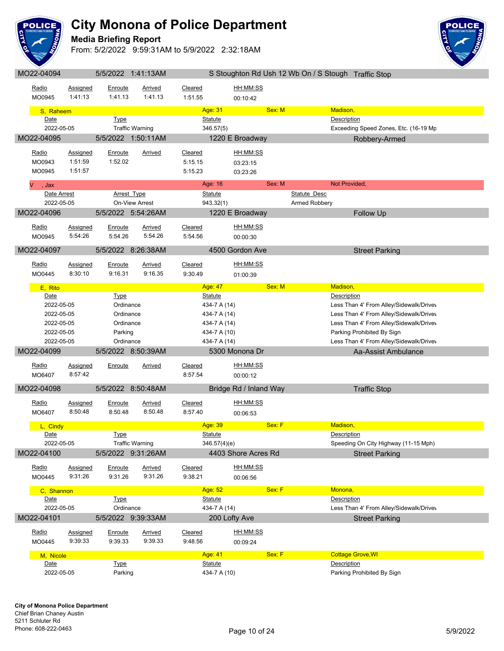

**Media Briefing Report**



|                    |                 |                        | VUVUVUVU               |                                |                        |        | O Oloughton individual is the Only O Olought Trialilly Olop |
|--------------------|-----------------|------------------------|------------------------|--------------------------------|------------------------|--------|-------------------------------------------------------------|
| Radio              | Assigned        | Enroute                | Arrived                | Cleared                        | HH:MM:SS               |        |                                                             |
|                    |                 |                        |                        |                                |                        |        |                                                             |
| MO0945             | 1:41:13         | 1:41.13                | 1:41.13                | 1:51.55                        | 00:10:42               |        |                                                             |
| S, Raheem          |                 |                        |                        | Age: 31                        |                        | Sex: M | Madison,                                                    |
| Date               |                 | <b>Type</b>            |                        | <b>Statute</b>                 |                        |        | <b>Description</b>                                          |
|                    |                 |                        |                        |                                |                        |        |                                                             |
| 2022-05-05         |                 |                        | <b>Traffic Warning</b> | 346.57(5)                      |                        |        | Exceeding Speed Zones, Etc. (16-19 Mp                       |
| MO22-04095         |                 |                        | 5/5/2022 1:50:11AM     |                                | 1220 E Broadway        |        | Robbery-Armed                                               |
|                    |                 |                        |                        |                                |                        |        |                                                             |
| Radio              | Assigned        | Enroute                | Arrived                | Cleared                        | HH:MM:SS               |        |                                                             |
| MO0943             | 1:51:59         | 1:52.02                |                        | 5:15.15                        | 03:23:15               |        |                                                             |
| MO0945             | 1:51:57         |                        |                        | 5:15.23                        | 03:23:26               |        |                                                             |
|                    |                 |                        |                        |                                |                        | Sex: M | Not Provided,                                               |
| V<br>, Jax         |                 |                        |                        | Age: 16                        |                        |        |                                                             |
| Date Arrest        |                 | Arrest Type            |                        | Statute                        |                        |        | Statute Desc                                                |
| 2022-05-05         |                 |                        | On-View Arrest         | 943.32(1)                      |                        |        | Armed Robbery                                               |
| MO22-04096         |                 |                        | 5/5/2022 5:54:26AM     |                                | 1220 E Broadway        |        | <b>Follow Up</b>                                            |
|                    |                 |                        |                        |                                |                        |        |                                                             |
| Radio              | <b>Assigned</b> | <u>Enroute</u>         | <b>Arrived</b>         | Cleared                        | HH:MM:SS               |        |                                                             |
| MO0945             | 5:54:26         | 5:54.26                | 5:54.26                | 5:54.56                        | 00:00:30               |        |                                                             |
|                    |                 |                        |                        |                                |                        |        |                                                             |
| MO22-04097         |                 |                        | 5/5/2022 8:26:38AM     |                                | 4500 Gordon Ave        |        | <b>Street Parking</b>                                       |
|                    |                 |                        |                        |                                | HH:MM:SS               |        |                                                             |
| Radio              | Assigned        | Enroute                | Arrived                | Cleared                        |                        |        |                                                             |
| MO0445             | 8:30:10         | 9:16.31                | 9:16.35                | 9:30.49                        | 01:00:39               |        |                                                             |
| E, Rito            |                 |                        |                        | Age: 47                        |                        | Sex: M | Madison,                                                    |
| Date               |                 | Type                   |                        | Statute                        |                        |        | Description                                                 |
|                    |                 |                        |                        |                                |                        |        |                                                             |
| 2022-05-05         |                 | Ordinance              |                        | 434-7 A (14)                   |                        |        | Less Than 4' From Alley/Sidewalk/Drivev                     |
| 2022-05-05         |                 | Ordinance              |                        | 434-7 A (14)                   |                        |        | Less Than 4' From Alley/Sidewalk/Drivev                     |
| 2022-05-05         |                 | Ordinance              |                        | 434-7 A (14)                   |                        |        | Less Than 4' From Alley/Sidewalk/Drivey                     |
|                    |                 |                        |                        |                                |                        |        |                                                             |
| 2022-05-05         |                 | Parking                |                        | 434-7 A (10)                   |                        |        | Parking Prohibited By Sign                                  |
| 2022-05-05         |                 | Ordinance              |                        | 434-7 A (14)                   |                        |        | Less Than 4' From Alley/Sidewalk/Drivev                     |
|                    |                 |                        |                        |                                |                        |        |                                                             |
| MO22-04099         |                 |                        | 5/5/2022 8:50:39AM     |                                | 5300 Monona Dr         |        | Aa-Assist Ambulance                                         |
| Radio              | <b>Assigned</b> | <b>Enroute</b>         | <b>Arrived</b>         | Cleared                        | HH:MM:SS               |        |                                                             |
| MO6407             | 8:57:42         |                        |                        | 8:57.54                        |                        |        |                                                             |
|                    |                 |                        |                        |                                | 00:00:12               |        |                                                             |
| MO22-04098         |                 |                        | 5/5/2022 8:50:48AM     |                                | Bridge Rd / Inland Way |        | <b>Traffic Stop</b>                                         |
|                    |                 |                        |                        |                                |                        |        |                                                             |
| Radio              | Assigned        | Enroute                | Arrived                | Cleared                        | HH:MM:SS               |        |                                                             |
| MO6407             | 8:50:48         | 8:50.48                | 8:50.48                | 8:57.40                        | 00:06:53               |        |                                                             |
|                    |                 |                        |                        |                                |                        |        |                                                             |
| L, Cindy           |                 |                        |                        | Age: 39                        |                        | Sex: F | Madison,                                                    |
| Date               |                 | Type                   |                        | Statute                        |                        |        | Description                                                 |
| 2022-05-05         |                 |                        | <b>Traffic Warning</b> | 346.57(4)(e)                   |                        |        | Speeding On City Highway (11-15 Mph)                        |
| MO22-04100         |                 |                        | 5/5/2022 9:31:26AM     |                                | 4403 Shore Acres Rd    |        | <b>Street Parking</b>                                       |
|                    |                 |                        |                        |                                |                        |        |                                                             |
| Radio              | Assigned        | Enroute                | <b>Arrived</b>         | Cleared                        | HH:MM:SS               |        |                                                             |
| MO0445             | 9:31:26         | 9:31.26                | 9:31.26                | 9:38.21                        | 00:06:56               |        |                                                             |
|                    |                 |                        |                        |                                |                        |        |                                                             |
| C, Shannon         |                 |                        |                        | Age: 52                        |                        | Sex: F | Monona,                                                     |
| Date               |                 | <b>Type</b>            |                        | <b>Statute</b>                 |                        |        | Description                                                 |
| 2022-05-05         |                 | Ordinance              |                        | 434-7 A (14)                   |                        |        | Less Than 4' From Alley/Sidewalk/Drivev                     |
| MO22-04101         |                 |                        | 5/5/2022 9:39:33AM     |                                | 200 Lofty Ave          |        | <b>Street Parking</b>                                       |
|                    |                 |                        |                        |                                |                        |        |                                                             |
| Radio              | Assigned        | Enroute                | <b>Arrived</b>         | Cleared                        | HH:MM:SS               |        |                                                             |
| MO0445             | 9:39:33         | 9:39.33                | 9:39.33                | 9:48.56                        | 00:09:24               |        |                                                             |
|                    |                 |                        |                        |                                |                        |        |                                                             |
| M, Nicole          |                 |                        |                        | Age: 41                        |                        | Sex: F | <b>Cottage Grove, WI</b>                                    |
| Date<br>2022-05-05 |                 | <b>Type</b><br>Parking |                        | <b>Statute</b><br>434-7 A (10) |                        |        | Description<br>Parking Prohibited By Sign                   |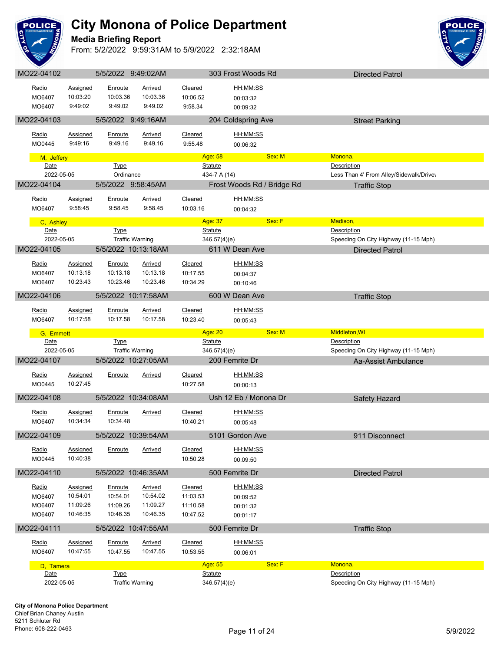

**Media Briefing Report**



| Radio      | <b>Assigned</b> | Enroute                | Arrived        | Cleared        | HH:MM:SS                   |                                         |
|------------|-----------------|------------------------|----------------|----------------|----------------------------|-----------------------------------------|
| MO6407     | 10:03:20        | 10:03.36               | 10:03.36       | 10:06.52       | 00:03:32                   |                                         |
| MO6407     | 9:49:02         | 9:49.02                | 9:49.02        | 9:58.34        | 00:09:32                   |                                         |
|            |                 |                        |                |                |                            |                                         |
| MO22-04103 |                 | 5/5/2022 9:49:16AM     |                |                | 204 Coldspring Ave         | <b>Street Parking</b>                   |
|            |                 |                        |                |                |                            |                                         |
| Radio      | Assigned        | Enroute                | Arrived        | Cleared        | HH:MM:SS                   |                                         |
| MO0445     | 9:49:16         | 9:49.16                | 9:49.16        | 9:55.48        | 00:06:32                   |                                         |
| M, Jeffery |                 |                        |                | Age: 58        | Sex: M                     | Monona,                                 |
| Date       |                 | <b>Type</b>            |                | <b>Statute</b> |                            | Description                             |
| 2022-05-05 |                 | Ordinance              |                | 434-7 A (14)   |                            | Less Than 4' From Alley/Sidewalk/Drivev |
| MO22-04104 |                 | 5/5/2022 9:58:45AM     |                |                | Frost Woods Rd / Bridge Rd |                                         |
|            |                 |                        |                |                |                            | <b>Traffic Stop</b>                     |
| Radio      | <b>Assigned</b> | Enroute                | Arrived        | Cleared        | HH:MM:SS                   |                                         |
| MO6407     | 9:58:45         | 9:58.45                | 9:58.45        | 10:03.16       | 00:04:32                   |                                         |
|            |                 |                        |                |                |                            |                                         |
| C, Ashley  |                 |                        |                | Age: 37        | Sex: F                     | Madison,                                |
| Date       |                 | <b>Type</b>            |                | <b>Statute</b> |                            | Description                             |
| 2022-05-05 |                 | <b>Traffic Warning</b> |                | 346.57(4)(e)   |                            | Speeding On City Highway (11-15 Mph)    |
| MO22-04105 |                 | 5/5/2022 10:13:18AM    |                |                | 611 W Dean Ave             | <b>Directed Patrol</b>                  |
|            |                 |                        |                |                |                            |                                         |
| Radio      | Assigned        | Enroute                | Arrived        | Cleared        | HH:MM:SS                   |                                         |
| MO6407     | 10:13:18        | 10:13.18               | 10:13.18       | 10:17.55       | 00:04:37                   |                                         |
| MO6407     | 10:23:43        | 10:23.46               | 10:23.46       | 10:34.29       | 00:10:46                   |                                         |
| MO22-04106 |                 | 5/5/2022 10:17:58AM    |                |                | 600 W Dean Ave             | <b>Traffic Stop</b>                     |
|            |                 |                        |                |                |                            |                                         |
| Radio      | Assigned        | Enroute                | <b>Arrived</b> | Cleared        | HH:MM:SS                   |                                         |
| MO6407     | 10:17:58        | 10:17.58               | 10:17.58       | 10:23.40       | 00:05:43                   |                                         |
|            |                 |                        |                |                |                            |                                         |
|            |                 |                        |                |                |                            |                                         |
| G, Emmett  |                 |                        |                | Age: 20        | Sex: M                     | Middleton, WI                           |
| Date       |                 | <b>Type</b>            |                | <b>Statute</b> |                            | Description                             |
| 2022-05-05 |                 | <b>Traffic Warning</b> |                | 346.57(4)(e)   |                            | Speeding On City Highway (11-15 Mph)    |
| MO22-04107 |                 | 5/5/2022 10:27:05AM    |                |                | 200 Femrite Dr             | Aa-Assist Ambulance                     |
|            |                 |                        |                |                |                            |                                         |
| Radio      | Assigned        | Enroute                | Arrived        | Cleared        | HH:MM:SS                   |                                         |
| MO0445     | 10:27:45        |                        |                | 10:27.58       | 00:00:13                   |                                         |
| MO22-04108 |                 | 5/5/2022 10:34:08AM    |                |                | Ush 12 Eb / Monona Dr      | Safety Hazard                           |
|            |                 |                        |                |                |                            |                                         |
| Radio      | Assigned        | Enroute                | Arrived        | Cleared        | HH:MM:SS                   |                                         |
| MO6407     | 10:34:34        | 10:34.48               |                | 10:40.21       | 00:05:48                   |                                         |
| MO22-04109 |                 | 5/5/2022 10:39:54AM    |                |                | 5101 Gordon Ave            | 911 Disconnect                          |
|            |                 |                        |                |                |                            |                                         |
| Radio      | <b>Assigned</b> | <b>Enroute</b>         | <u>Arrived</u> | Cleared        | HH:MM:SS                   |                                         |
| MO0445     | 10:40:38        |                        |                | 10:50.28       | 00:09:50                   |                                         |
|            |                 |                        |                |                |                            |                                         |
| MO22-04110 |                 | 5/5/2022 10:46:35AM    |                |                | 500 Femrite Dr             | <b>Directed Patrol</b>                  |
| Radio      | <b>Assigned</b> | Enroute                | <b>Arrived</b> | Cleared        | HH:MM:SS                   |                                         |
| MO6407     | 10:54:01        | 10:54.01               | 10:54.02       | 11:03.53       | 00:09:52                   |                                         |
| MO6407     | 11:09:26        | 11:09.26               | 11:09.27       | 11:10.58       |                            |                                         |
| MO6407     | 10:46:35        | 10:46.35               | 10:46.35       | 10:47.52       | 00:01:32                   |                                         |
|            |                 |                        |                |                | 00:01:17                   |                                         |
| MO22-04111 |                 | 5/5/2022 10:47:55AM    |                |                | 500 Femrite Dr             | <b>Traffic Stop</b>                     |
|            |                 |                        |                |                |                            |                                         |
| Radio      | Assigned        | Enroute                | <b>Arrived</b> | Cleared        | HH:MM:SS                   |                                         |
| MO6407     | 10:47:55        | 10:47.55               | 10:47.55       | 10:53.55       | 00:06:01                   |                                         |
| D, Tamera  |                 |                        |                | Age: 55        | Sex: F                     | Monona,                                 |
| Date       |                 | <b>Type</b>            |                | <b>Statute</b> |                            | Description                             |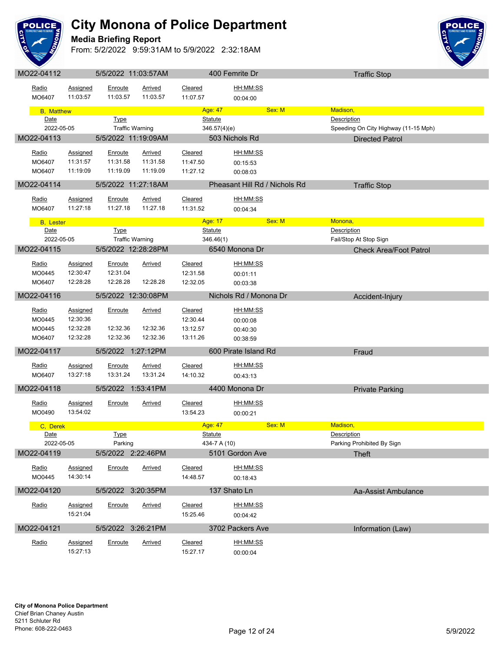

#### **Media Briefing Report**



| Radio<br>MO6407                     | Assigned<br>11:03:57                         | Enroute<br>11:03.57             | Arrived<br>11:03.57                    | Cleared<br>11:07.57                         | HH:MM:SS<br>00:04:00                         |        |                    |                                      |
|-------------------------------------|----------------------------------------------|---------------------------------|----------------------------------------|---------------------------------------------|----------------------------------------------|--------|--------------------|--------------------------------------|
| <b>B</b> , Matthew                  |                                              |                                 |                                        | Age: 47                                     |                                              | Sex: M | Madison,           |                                      |
| Date<br>2022-05-05                  |                                              | <b>Type</b>                     | <b>Traffic Warning</b>                 | <b>Statute</b><br>346.57(4)(e)              |                                              |        | <b>Description</b> | Speeding On City Highway (11-15 Mph) |
| MO22-04113                          |                                              |                                 | 5/5/2022 11:19:09AM                    |                                             | 503 Nichols Rd                               |        |                    | <b>Directed Patrol</b>               |
| Radio<br>MO6407<br>MO6407           | Assigned<br>11:31:57<br>11:19:09             | Enroute<br>11:31.58<br>11:19.09 | Arrived<br>11:31.58<br>11:19.09        | Cleared<br>11:47.50<br>11:27.12             | HH:MM:SS<br>00:15:53<br>00:08:03             |        |                    |                                      |
| MO22-04114                          |                                              |                                 | 5/5/2022 11:27:18AM                    |                                             | Pheasant Hill Rd / Nichols Rd                |        |                    | <b>Traffic Stop</b>                  |
| Radio<br>MO6407                     | <b>Assigned</b><br>11:27:18                  | Enroute<br>11:27.18             | <b>Arrived</b><br>11:27.18             | Cleared<br>11:31.52                         | HH:MM:SS<br>00:04:34                         |        |                    |                                      |
| <b>B</b> , Lester                   |                                              |                                 |                                        | Age: 17                                     |                                              | Sex: M | Monona,            |                                      |
| Date<br>2022-05-05                  |                                              | <b>Type</b>                     | <b>Traffic Warning</b>                 | <b>Statute</b><br>346.46(1)                 |                                              |        | Description        | Fail/Stop At Stop Sign               |
| MO22-04115                          |                                              |                                 | 5/5/2022 12:28:28PM                    |                                             | 6540 Monona Dr                               |        |                    | <b>Check Area/Foot Patrol</b>        |
| Radio<br>MO0445<br>MO6407           | Assigned<br>12:30:47<br>12:28:28             | Enroute<br>12:31.04<br>12:28.28 | Arrived<br>12:28.28                    | Cleared<br>12:31.58<br>12:32.05             | HH:MM:SS<br>00:01:11<br>00:03:38             |        |                    |                                      |
| MO22-04116                          |                                              |                                 | 5/5/2022 12:30:08PM                    |                                             | Nichols Rd / Monona Dr                       |        |                    | Accident-Injury                      |
| Radio<br>MO0445<br>MO0445<br>MO6407 | Assigned<br>12:30:36<br>12:32:28<br>12:32:28 | Enroute<br>12:32.36<br>12:32.36 | <b>Arrived</b><br>12:32.36<br>12:32.36 | Cleared<br>12:30.44<br>13:12.57<br>13:11.26 | HH:MM:SS<br>00:00:08<br>00:40:30<br>00:38:59 |        |                    |                                      |
| MO22-04117                          |                                              |                                 | 5/5/2022 1:27:12PM                     |                                             | 600 Pirate Island Rd                         |        |                    | Fraud                                |
| Radio<br>MO6407                     | <b>Assigned</b><br>13:27:18                  | Enroute<br>13:31.24             | <b>Arrived</b><br>13:31.24             | Cleared<br>14:10.32                         | HH:MM:SS<br>00:43:13                         |        |                    |                                      |
| MO22-04118                          |                                              |                                 | 5/5/2022 1:53:41PM                     |                                             | 4400 Monona Dr                               |        |                    | <b>Private Parking</b>               |
| Radio<br>MO0490                     | <b>Assigned</b><br>13:54:02                  | <b>Enroute</b>                  | <u>Arrived</u>                         | Cleared<br>13:54.23                         | HH:MM:SS<br>00:00:21                         |        |                    |                                      |
| C. Derek                            |                                              |                                 |                                        | Age: 47                                     |                                              | Sex: M | Madison,           |                                      |
| Date<br>2022-05-05                  |                                              | <b>Type</b><br>Parking          |                                        | <b>Statute</b><br>434-7 A (10)              |                                              |        | Description        | Parking Prohibited By Sign           |
| MO22-04119                          |                                              |                                 | 5/5/2022 2:22:46PM                     |                                             | 5101 Gordon Ave                              |        |                    | <b>Theft</b>                         |
| Radio<br>MO0445                     | Assigned<br>14:30:14                         | Enroute                         | <b>Arrived</b>                         | Cleared<br>14:48.57                         | HH:MM:SS<br>00:18:43                         |        |                    |                                      |
| MO22-04120                          |                                              |                                 | 5/5/2022 3:20:35PM                     |                                             | 137 Shato Ln                                 |        |                    | Aa-Assist Ambulance                  |
| Radio                               | <b>Assigned</b><br>15:21:04                  | Enroute                         | <b>Arrived</b>                         | Cleared<br>15:25.46                         | HH:MM:SS<br>00:04:42                         |        |                    |                                      |
| MO22-04121                          |                                              |                                 | 5/5/2022 3:26:21PM                     |                                             | 3702 Packers Ave                             |        |                    | Information (Law)                    |
| Radio                               | <b>Assigned</b><br>15:27:13                  | Enroute                         | <b>Arrived</b>                         | Cleared<br>15:27.17                         | <u>HH:MM:SS</u><br>00:00:04                  |        |                    |                                      |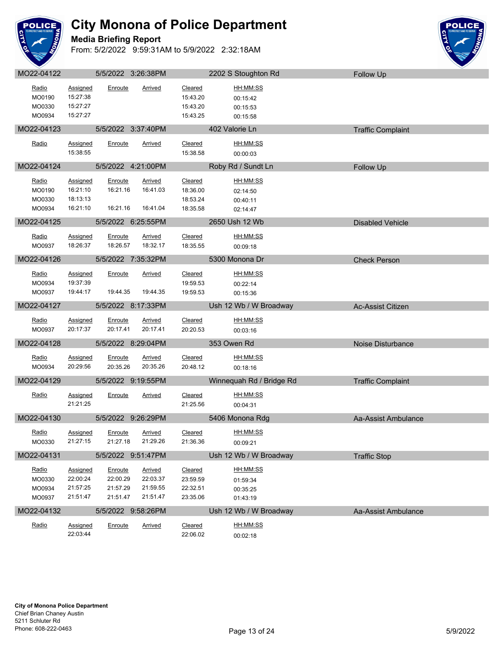

**Media Briefing Report**



| Radio<br>MO0190<br>MO0330<br>MO0934 | <b>Assigned</b><br>15:27:38<br>15:27:27<br>15:27:27 | Enroute                                     | Arrived                                            | <b>Cleared</b><br>15:43.20<br>15:43.20<br>15:43.25 | HH:MM:SS<br>00:15:42<br>00:15:53<br>00:15:58        |                          |
|-------------------------------------|-----------------------------------------------------|---------------------------------------------|----------------------------------------------------|----------------------------------------------------|-----------------------------------------------------|--------------------------|
| MO22-04123                          |                                                     | 5/5/2022 3:37:40PM                          |                                                    |                                                    | 402 Valorie Ln                                      | <b>Traffic Complaint</b> |
| Radio                               | Assigned<br>15:38:55                                | Enroute                                     | Arrived                                            | Cleared<br>15:38.58                                | <u>HH:MM:SS</u><br>00:00:03                         |                          |
| MO22-04124                          |                                                     | 5/5/2022 4:21:00PM                          |                                                    |                                                    | Roby Rd / Sundt Ln                                  | Follow Up                |
| Radio<br>MO0190<br>MO0330<br>MO0934 | <b>Assigned</b><br>16:21:10<br>18:13:13<br>16:21:10 | Enroute<br>16:21.16<br>16:21.16             | <b>Arrived</b><br>16:41.03<br>16:41.04             | Cleared<br>18:36.00<br>18:53.24<br>18:35.58        | HH:MM:SS<br>02:14:50<br>00:40:11<br>02:14:47        |                          |
| MO22-04125                          |                                                     | 5/5/2022 6:25:55PM                          |                                                    |                                                    | 2650 Ush 12 Wb                                      | <b>Disabled Vehicle</b>  |
| Radio<br>MO0937                     | <b>Assigned</b><br>18:26:37                         | Enroute<br>18:26.57                         | <b>Arrived</b><br>18:32.17                         | Cleared<br>18:35.55                                | HH:MM:SS<br>00:09:18                                |                          |
| MO22-04126                          |                                                     | 5/5/2022 7:35:32PM                          |                                                    |                                                    | 5300 Monona Dr                                      | <b>Check Person</b>      |
| Radio<br>MO0934<br>MO0937           | Assigned<br>19:37:39<br>19:44:17                    | Enroute<br>19:44.35                         | Arrived<br>19:44.35                                | Cleared<br>19:59.53<br>19:59.53                    | HH:MM:SS<br>00:22:14<br>00:15:36                    |                          |
| MO22-04127                          |                                                     | 5/5/2022 8:17:33PM                          |                                                    |                                                    | Ush 12 Wb / W Broadway                              | Ac-Assist Citizen        |
| Radio<br>MO0937                     | <b>Assigned</b><br>20:17:37                         | Enroute<br>20:17.41                         | Arrived<br>20:17.41                                | Cleared<br>20:20.53                                | HH:MM:SS<br>00:03:16                                |                          |
| MO22-04128                          |                                                     | 5/5/2022 8:29:04PM                          |                                                    |                                                    | 353 Owen Rd                                         | Noise Disturbance        |
| Radio<br>MO0934                     | Assigned<br>20:29:56                                | Enroute<br>20:35.26                         | Arrived<br>20:35.26                                | Cleared<br>20:48.12                                | HH:MM:SS<br>00:18:16                                |                          |
| MO22-04129                          |                                                     | 5/5/2022 9:19:55PM                          |                                                    |                                                    | Winnequah Rd / Bridge Rd                            | <b>Traffic Complaint</b> |
| Radio                               | Assigned<br>21:21:25                                | Enroute                                     | Arrived                                            | Cleared<br>21:25.56                                | HH:MM:SS<br>00:04:31                                |                          |
| MO22-04130                          |                                                     | 5/5/2022 9:26:29PM                          |                                                    |                                                    | 5406 Monona Rdg                                     | Aa-Assist Ambulance      |
| Radio<br>MO0330                     | <b>Assigned</b><br>21:27:15                         | <b>Enroute</b><br>21:27.18                  | <b>Arrived</b><br>21:29.26                         | Cleared<br>21:36.36                                | HH:MM:SS<br>00:09:21                                |                          |
| MO22-04131                          |                                                     | 5/5/2022 9:51:47PM                          |                                                    |                                                    | Ush 12 Wb / W Broadway                              | <b>Traffic Stop</b>      |
| Radio<br>MO0330<br>MO0934<br>MO0937 | Assigned<br>22:00:24<br>21:57:25<br>21:51:47        | Enroute<br>22:00.29<br>21:57.29<br>21:51.47 | <b>Arrived</b><br>22:03.37<br>21:59.55<br>21:51.47 | Cleared<br>23:59.59<br>22:32.51<br>23:35.06        | <u>HH:MM:SS</u><br>01:59:34<br>00:35:25<br>01:43:19 |                          |
| MO22-04132                          |                                                     | 5/5/2022 9:58:26PM                          |                                                    |                                                    | Ush 12 Wb / W Broadway                              | Aa-Assist Ambulance      |
| Radio                               | Assigned<br>22:03:44                                | Enroute                                     | Arrived                                            | Cleared<br>22:06.02                                | HH:MM:SS<br>00:02:18                                |                          |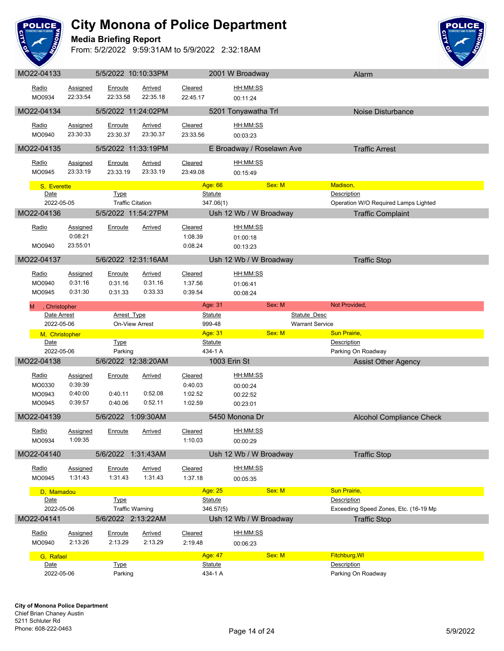

#### **Media Briefing Report**



| MO22-04133     |                     | 5/5/2022 10:10:33PM                  |                |                           | 2001 W Broadway                               | Alarm                                 |  |
|----------------|---------------------|--------------------------------------|----------------|---------------------------|-----------------------------------------------|---------------------------------------|--|
| Radio          | Assigned            | Enroute                              | Arrived        | Cleared                   | HH:MM:SS                                      |                                       |  |
| MO0934         | 22:33:54            | 22:33.58                             | 22:35.18       | 22:45.17                  | 00:11:24                                      |                                       |  |
|                |                     |                                      |                |                           |                                               |                                       |  |
| MO22-04134     |                     | 5/5/2022 11:24:02PM                  |                |                           | 5201 Tonyawatha Trl                           | Noise Disturbance                     |  |
| Radio          | <b>Assigned</b>     | Enroute                              | Arrived        | Cleared                   | HH:MM:SS                                      |                                       |  |
| MO0940         | 23:30:33            | 23:30.37                             | 23:30.37       | 23:33.56                  | 00:03:23                                      |                                       |  |
|                |                     |                                      |                |                           |                                               |                                       |  |
| MO22-04135     |                     | 5/5/2022 11:33:19PM                  |                |                           | E Broadway / Roselawn Ave                     | <b>Traffic Arrest</b>                 |  |
| Radio          | <b>Assigned</b>     | Enroute                              | <b>Arrived</b> | Cleared                   | HH:MM:SS                                      |                                       |  |
| MO0945         | 23:33:19            | 23:33.19                             | 23:33.19       | 23:49.08                  | 00:15:49                                      |                                       |  |
| S, Everette    |                     |                                      |                | Age: 66                   | Sex: M                                        | Madison,                              |  |
| Date           |                     | <b>Type</b>                          |                | <b>Statute</b>            |                                               | Description                           |  |
| 2022-05-05     |                     | <b>Traffic Citation</b>              |                | 347.06(1)                 |                                               | Operation W/O Required Lamps Lighted  |  |
| MO22-04136     |                     | 5/5/2022 11:54:27PM                  |                |                           | Ush 12 Wb / W Broadway                        | <b>Traffic Complaint</b>              |  |
|                |                     |                                      |                |                           |                                               |                                       |  |
| Radio          | <b>Assigned</b>     | Enroute                              | <b>Arrived</b> | Cleared                   | HH:MM:SS                                      |                                       |  |
|                | 0:08:21<br>23:55:01 |                                      |                | 1:08.39                   | 01:00:18                                      |                                       |  |
| MO0940         |                     |                                      |                | 0:08.24                   | 00:13:23                                      |                                       |  |
| MO22-04137     |                     | 5/6/2022 12:31:16AM                  |                |                           | Ush 12 Wb / W Broadway                        | <b>Traffic Stop</b>                   |  |
| Radio          | <b>Assigned</b>     | Enroute                              | <b>Arrived</b> | Cleared                   | HH:MM:SS                                      |                                       |  |
| MO0940         | 0:31:16             | 0:31.16                              | 0:31.16        | 1:37.56                   | 01:06:41                                      |                                       |  |
| MO0945         | 0:31:30             | 0:31.33                              | 0:33.33        | 0:39.54                   | 00:08:24                                      |                                       |  |
|                |                     |                                      |                |                           |                                               |                                       |  |
| , Christopher  |                     |                                      |                | Age: 31                   | Sex: M                                        | Not Provided,                         |  |
| Date Arrest    |                     | <b>Arrest Type</b><br>On-View Arrest |                | <b>Statute</b><br>999-48  | <b>Statute Desc</b><br><b>Warrant Service</b> |                                       |  |
|                |                     |                                      |                |                           |                                               |                                       |  |
| 2022-05-06     |                     |                                      |                |                           |                                               |                                       |  |
| M, Christopher |                     |                                      |                | Age: 31                   | Sex: M                                        | <b>Sun Prairie,</b>                   |  |
| Date           |                     | <b>Type</b>                          |                | <b>Statute</b>            |                                               | Description                           |  |
| 2022-05-06     |                     | Parking                              |                | 434-1 A                   |                                               | Parking On Roadway                    |  |
| MO22-04138     |                     | 5/6/2022 12:38:20AM                  |                |                           | 1003 Erin St                                  | <b>Assist Other Agency</b>            |  |
| Radio          | <b>Assigned</b>     | Enroute                              | Arrived        | Cleared                   | HH:MM:SS                                      |                                       |  |
| MO0330         | 0:39:39             |                                      |                | 0:40.03                   | 00:00:24                                      |                                       |  |
| MO0943         | 0:40:00             | 0:40.11                              | 0:52.08        | 1:02.52                   | 00:22:52                                      |                                       |  |
| MO0945         | 0:39:57             | 0:40.06                              | 0:52.11        | 1:02.59                   | 00:23:01                                      |                                       |  |
| MO22-04139     |                     | 5/6/2022 1:09:30AM                   |                |                           | 5450 Monona Dr                                | <b>Alcohol Compliance Check</b>       |  |
|                |                     |                                      |                |                           |                                               |                                       |  |
| <u>Radio</u>   | Assigned            | Enroute                              | Arrived        | Cleared                   | HH:MM:SS                                      |                                       |  |
| MO0934         | 1:09:35             |                                      |                | 1:10.03                   | 00:00:29                                      |                                       |  |
| MO22-04140     |                     | 5/6/2022 1:31:43AM                   |                |                           | Ush 12 Wb / W Broadway                        | <b>Traffic Stop</b>                   |  |
| Radio          | <b>Assigned</b>     | Enroute                              | <b>Arrived</b> | Cleared                   | HH:MM:SS                                      |                                       |  |
| MO0945         | 1:31:43             | 1:31.43                              | 1:31.43        | 1:37.18                   |                                               |                                       |  |
|                |                     |                                      |                |                           | 00:05:35                                      |                                       |  |
| D, Mamadou     |                     |                                      |                | Age: 25                   | Sex: M                                        | Sun Prairie,                          |  |
| Date           |                     | <b>Type</b>                          |                | <b>Statute</b>            |                                               | Description                           |  |
| 2022-05-06     |                     | <b>Traffic Warning</b>               |                | 346.57(5)                 |                                               | Exceeding Speed Zones, Etc. (16-19 Mp |  |
| MO22-04141     |                     | 5/6/2022 2:13:22AM                   |                |                           | Ush 12 Wb / W Broadway                        | <b>Traffic Stop</b>                   |  |
| Radio          | Assigned            | Enroute                              | <b>Arrived</b> | Cleared                   | HH:MM:SS                                      |                                       |  |
| MO0940         | 2:13:26             | 2:13.29                              | 2:13.29        | 2:19.48                   | 00:06:23                                      |                                       |  |
| G, Rafael      |                     |                                      |                | Age: 47                   | Sex: M                                        | Fitchburg, WI                         |  |
| Date           |                     | <b>Type</b>                          |                | <b>Statute</b><br>434-1 A |                                               | Description                           |  |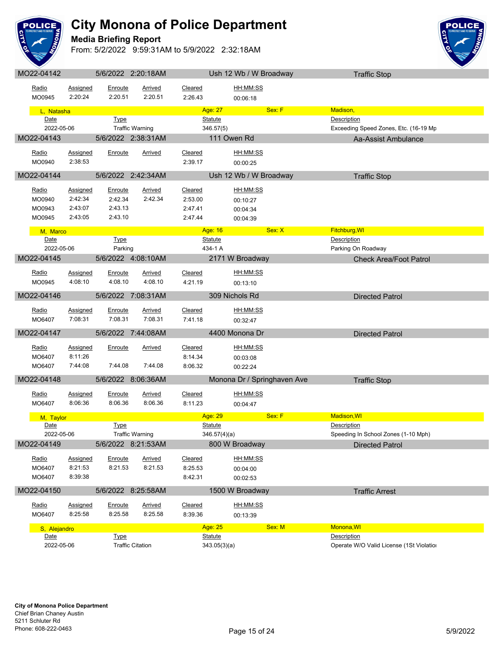

#### **Media Briefing Report**



| MO22-04142        |                 |                | 5/6/2022 2:20:18AM      |                           | Ush 12 Wb / W Broadway      | <b>Traffic Stop</b>                      |  |
|-------------------|-----------------|----------------|-------------------------|---------------------------|-----------------------------|------------------------------------------|--|
| Radio             | Assigned        | Enroute        | Arrived                 | Cleared                   | HH:MM:SS                    |                                          |  |
| MO0945            | 2:20:24         | 2:20.51        | 2:20.51                 | 2:26.43                   | 00:06:18                    |                                          |  |
|                   |                 |                |                         |                           |                             |                                          |  |
| L, Natasha        |                 |                |                         | Age: 27                   | Sex: F                      | Madison,                                 |  |
| Date              |                 | <b>Type</b>    |                         | <b>Statute</b>            |                             | Description                              |  |
|                   | 2022-05-06      |                | <b>Traffic Warning</b>  | 346.57(5)                 |                             | Exceeding Speed Zones, Etc. (16-19 Mp    |  |
| MO22-04143        |                 |                | 5/6/2022 2:38:31AM      |                           | 111 Owen Rd                 | Aa-Assist Ambulance                      |  |
| Radio             | Assigned        | Enroute        | Arrived                 | Cleared                   | HH:MM:SS                    |                                          |  |
| MO0940            | 2:38:53         |                |                         | 2:39.17                   | 00:00:25                    |                                          |  |
|                   |                 |                |                         |                           |                             |                                          |  |
| MO22-04144        |                 |                | 5/6/2022 2:42:34AM      |                           | Ush 12 Wb / W Broadway      | <b>Traffic Stop</b>                      |  |
| Radio             | Assigned        | <b>Enroute</b> | <b>Arrived</b>          | Cleared                   | <u>HH:MM:SS</u>             |                                          |  |
| MO0940            | 2:42:34         | 2:42.34        | 2:42.34                 | 2:53.00                   | 00:10:27                    |                                          |  |
| MO0943            | 2:43:07         | 2:43.13        |                         | 2:47.41                   | 00:04:34                    |                                          |  |
| MO0945            | 2:43:05         | 2:43.10        |                         | 2:47.44                   | 00:04:39                    |                                          |  |
|                   |                 |                |                         | Age: 16                   | Sex: X                      | Fitchburg, WI                            |  |
| M, Marco<br>Date  |                 | <b>Type</b>    |                         | <b>Statute</b>            |                             | Description                              |  |
|                   | 2022-05-06      | Parking        |                         | 434-1 A                   |                             | Parking On Roadway                       |  |
| MO22-04145        |                 |                | 5/6/2022 4:08:10AM      |                           | 2171 W Broadway             | <b>Check Area/Foot Patrol</b>            |  |
|                   |                 |                |                         |                           |                             |                                          |  |
| Radio             | Assigned        | Enroute        | Arrived                 | Cleared                   | HH:MM:SS                    |                                          |  |
| MO0945            | 4:08:10         | 4:08.10        | 4:08.10                 | 4:21.19                   | 00:13:10                    |                                          |  |
| MO22-04146        |                 |                | 5/6/2022 7:08:31AM      |                           | 309 Nichols Rd              | <b>Directed Patrol</b>                   |  |
|                   |                 |                |                         |                           |                             |                                          |  |
| Radio             | Assigned        | Enroute        | <b>Arrived</b>          | Cleared                   | HH:MM:SS                    |                                          |  |
| MO6407            | 7:08:31         | 7:08.31        | 7:08.31                 | 7:41.18                   | 00:32:47                    |                                          |  |
| MO22-04147        |                 |                | 5/6/2022 7:44:08AM      |                           | 4400 Monona Dr              | <b>Directed Patrol</b>                   |  |
| Radio             | <b>Assigned</b> | <u>Enroute</u> | <u>Arrived</u>          | Cleared                   | HH:MM:SS                    |                                          |  |
| MO6407            | 8:11:26         |                |                         | 8:14.34                   | 00:03:08                    |                                          |  |
| MO6407            | 7:44:08         | 7:44.08        | 7:44.08                 | 8:06.32                   | 00:22:24                    |                                          |  |
|                   |                 |                |                         |                           |                             |                                          |  |
| MO22-04148        |                 |                | 5/6/2022 8:06:36AM      |                           | Monona Dr / Springhaven Ave | <b>Traffic Stop</b>                      |  |
| Radio             | Assigned        | Enroute        | <b>Arrived</b>          | Cleared                   | HH:MM:SS                    |                                          |  |
| MO6407            | 8:06:36         | 8:06.36        | 8:06.36                 | 8:11.23                   | 00:04:47                    |                                          |  |
|                   |                 |                |                         |                           | Sex: F                      | <b>Madison, WI</b>                       |  |
| M, Taylor<br>Date |                 |                |                         | Age: 29<br><b>Statute</b> |                             | Description                              |  |
|                   | 2022-05-06      | <b>Type</b>    | <b>Traffic Warning</b>  | 346.57(4)(a)              |                             | Speeding In School Zones (1-10 Mph)      |  |
| MO22-04149        |                 |                |                         |                           | 800 W Broadway              |                                          |  |
|                   |                 |                | 5/6/2022 8:21:53AM      |                           |                             | <b>Directed Patrol</b>                   |  |
| Radio             | Assigned        | Enroute        | <b>Arrived</b>          | Cleared                   | HH:MM:SS                    |                                          |  |
| MO6407            | 8:21:53         | 8:21.53        | 8:21.53                 | 8:25.53                   | 00:04:00                    |                                          |  |
| MO6407            | 8:39:38         |                |                         | 8:42.31                   | 00:02:53                    |                                          |  |
| MO22-04150        |                 |                | 5/6/2022 8:25:58AM      |                           | 1500 W Broadway             | <b>Traffic Arrest</b>                    |  |
|                   |                 |                |                         |                           |                             |                                          |  |
| Radio             | <b>Assigned</b> | Enroute        | Arrived                 | Cleared                   | HH:MM:SS                    |                                          |  |
| MO6407            | 8:25:58         | 8:25.58        | 8:25.58                 | 8:39.36                   | 00:13:39                    |                                          |  |
|                   | S, Alejandro    |                |                         | Age: 25                   | Sex: M                      | Monona, WI                               |  |
| Date              |                 | <b>Type</b>    |                         | <b>Statute</b>            |                             | Description                              |  |
|                   | 2022-05-06      |                | <b>Traffic Citation</b> | 343.05(3)(a)              |                             | Operate W/O Valid License (1St Violatior |  |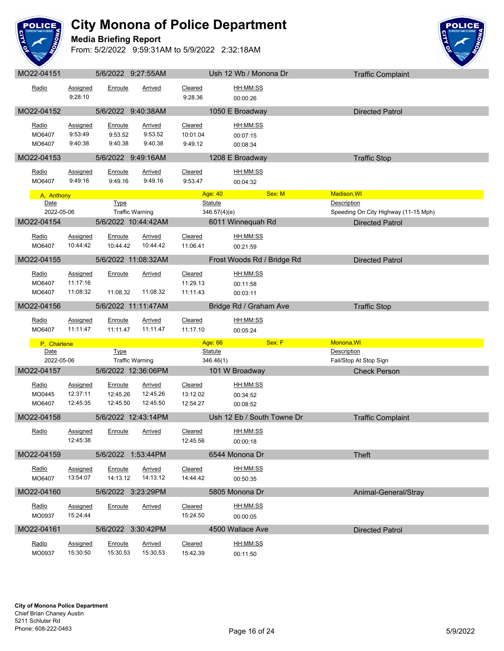

**Media Briefing Report**



|                                  |                                         |                                 | 5/6/2022 9:27:55AM                            |                                 | Ush 12 Wb / Monona Dr                   | <b>Traffic Complaint</b>                                                      |  |
|----------------------------------|-----------------------------------------|---------------------------------|-----------------------------------------------|---------------------------------|-----------------------------------------|-------------------------------------------------------------------------------|--|
| Radio                            | Assigned<br>9:28:10                     | Enroute                         | Arrived                                       | Cleared<br>9:28.36              | HH:MM:SS<br>00:00:26                    |                                                                               |  |
| MO22-04152                       |                                         |                                 | 5/6/2022 9:40:38AM                            |                                 | 1050 E Broadway                         | <b>Directed Patrol</b>                                                        |  |
| Radio<br>MO6407<br>MO6407        | <b>Assigned</b><br>9:53:49<br>9:40:38   | Enroute<br>9:53.52<br>9:40.38   | Arrived<br>9:53.52<br>9:40.38                 | Cleared<br>10:01.04<br>9:49.12  | HH:MM:SS<br>00:07:15<br>00:08:34        |                                                                               |  |
| MO22-04153                       |                                         |                                 | 5/6/2022 9:49:16AM                            |                                 | 1208 E Broadway                         | <b>Traffic Stop</b>                                                           |  |
| Radio<br>MO6407                  | Assigned<br>9:49:16                     | Enroute<br>9:49.16              | Arrived<br>9:49.16                            | Cleared<br>9:53.47              | HH:MM:SS<br>00:04:32                    |                                                                               |  |
| A, Anthony                       |                                         |                                 |                                               | Age: 40                         | Sex: M                                  | <b>Madison, WI</b>                                                            |  |
| Date<br>2022-05-06<br>MO22-04154 |                                         | <b>Type</b>                     | <b>Traffic Warning</b><br>5/6/2022 10:44:42AM | Statute                         | 346.57(4)(e)<br>6011 Winnequah Rd       | Description<br>Speeding On City Highway (11-15 Mph)<br><b>Directed Patrol</b> |  |
| Radio<br>MO6407                  | Assigned<br>10:44:42                    | Enroute<br>10:44.42             | Arrived<br>10:44.42                           | Cleared<br>11:06.41             | HH:MM:SS<br>00:21:59                    |                                                                               |  |
| MO22-04155                       |                                         |                                 | 5/6/2022 11:08:32AM                           |                                 | Frost Woods Rd / Bridge Rd              | <b>Directed Patrol</b>                                                        |  |
| Radio<br>MO6407<br>MO6407        | <b>Assigned</b><br>11:17:16<br>11:08:32 | Enroute<br>11:08.32             | <b>Arrived</b><br>11:08.32                    | Cleared<br>11:29.13<br>11:11.43 | <u>HH:MM:SS</u><br>00:11:58<br>00:03:11 |                                                                               |  |
| MO22-04156                       |                                         |                                 | 5/6/2022 11:11:47AM                           |                                 | Bridge Rd / Graham Ave                  | <b>Traffic Stop</b>                                                           |  |
|                                  |                                         |                                 |                                               |                                 |                                         |                                                                               |  |
| Radio<br>MO6407                  | Assigned<br>11:11:47                    | Enroute<br>11:11.47             | Arrived<br>11:11.47                           | Cleared<br>11:17.10             | HH:MM:SS<br>00:05:24                    |                                                                               |  |
| P, Charlene                      |                                         |                                 |                                               | Age: 66                         | Sex: F                                  | Monona, WI                                                                    |  |
| Date                             |                                         | <b>Type</b>                     |                                               | <b>Statute</b>                  |                                         | Description                                                                   |  |
| 2022-05-06<br>MO22-04157         |                                         |                                 | <b>Traffic Warning</b><br>5/6/2022 12:36:06PM | 346.46(1)                       | 101 W Broadway                          | Fail/Stop At Stop Sign<br><b>Check Person</b>                                 |  |
| <u>Radio</u><br>MO0445<br>MO6407 | <b>Assigned</b><br>12:37:11<br>12:45:35 | Enroute<br>12:45.26<br>12:45.50 | <b>Arrived</b><br>12:45.26<br>12:45.50        | Cleared<br>13:12.02<br>12:54.27 | HH:MM:SS<br>00:34:52<br>00:08:52        |                                                                               |  |
| MO22-04158                       |                                         |                                 | 5/6/2022 12:43:14PM                           |                                 | Ush 12 Eb / South Towne Dr              | <b>Traffic Complaint</b>                                                      |  |
| Radio                            | <u>Assigned</u><br>12:45:38             | Enroute                         | <b>Arrived</b>                                | <b>Cleared</b><br>12:45.56      | HH:MM:SS<br>00:00:18                    |                                                                               |  |
| MO22-04159                       |                                         |                                 | 5/6/2022 1:53:44PM                            |                                 | 6544 Monona Dr                          | <b>Theft</b>                                                                  |  |
| Radio<br>MO6407                  | Assigned<br>13:54:07                    | Enroute<br>14:13.12             | <b>Arrived</b><br>14:13.12                    | Cleared<br>14:44.42             | HH:MM:SS<br>00:50:35                    |                                                                               |  |
| MO22-04160                       |                                         |                                 | 5/6/2022 3:23:29PM                            |                                 | 5805 Monona Dr                          | Animal-General/Stray                                                          |  |
| Radio<br>MO0937                  | Assigned<br>15:24:44                    | Enroute                         | Arrived                                       | Cleared<br>15:24.50             | <u>HH:MM:SS</u><br>00:00:05             |                                                                               |  |
| MO22-04161                       |                                         |                                 | 5/6/2022 3:30:42PM                            |                                 | 4500 Wallace Ave                        | <b>Directed Patrol</b>                                                        |  |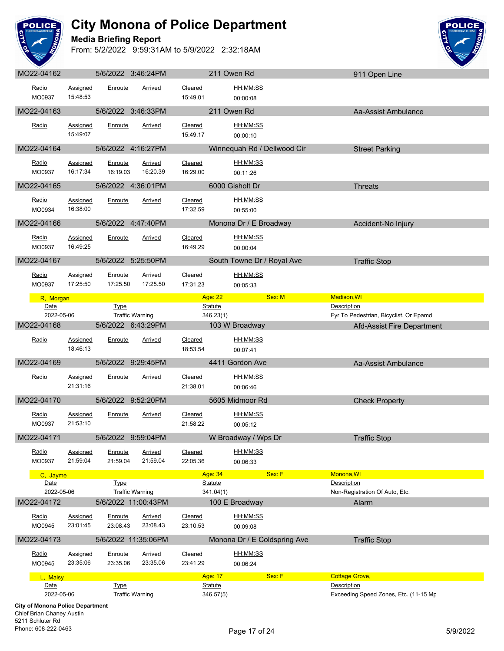

**Media Briefing Report**



| MO22-04162                                                    |                             |                     | 5/6/2022 3:46:24PM         |                     | 211 Owen Rd                                      | 911 Open Line                                         |
|---------------------------------------------------------------|-----------------------------|---------------------|----------------------------|---------------------|--------------------------------------------------|-------------------------------------------------------|
| Radio<br>MO0937                                               | Assigned<br>15:48:53        | Enroute             | Arrived                    | Cleared<br>15:49.01 | HH:MM:SS<br>00:00:08                             |                                                       |
| MO22-04163                                                    |                             |                     | 5/6/2022 3:46:33PM         |                     | 211 Owen Rd                                      | Aa-Assist Ambulance                                   |
| Radio                                                         | <b>Assigned</b><br>15:49:07 | Enroute             | Arrived                    | Cleared<br>15:49.17 | HH:MM:SS<br>00:00:10                             |                                                       |
| MO22-04164                                                    |                             |                     | 5/6/2022 4:16:27PM         |                     | Winnequah Rd / Dellwood Cir                      | <b>Street Parking</b>                                 |
| Radio<br>MO0937                                               | <b>Assigned</b><br>16:17:34 | Enroute<br>16:19.03 | <b>Arrived</b><br>16:20.39 | Cleared<br>16:29.00 | HH:MM:SS<br>00:11:26                             |                                                       |
| MO22-04165                                                    |                             |                     | 5/6/2022 4:36:01PM         |                     | 6000 Gisholt Dr                                  | <b>Threats</b>                                        |
| Radio<br>MO0934                                               | <b>Assigned</b><br>16:38:00 | Enroute             | <b>Arrived</b>             | Cleared<br>17:32.59 | <u>HH:MM:SS</u><br>00:55:00                      |                                                       |
| MO22-04166                                                    |                             |                     | 5/6/2022 4:47:40PM         |                     | Monona Dr / E Broadway                           | Accident-No Injury                                    |
| Radio<br>MO0937                                               | <b>Assigned</b><br>16:49:25 | Enroute             | Arrived                    | Cleared<br>16:49.29 | HH:MM:SS<br>00:00:04                             |                                                       |
| MO22-04167                                                    |                             |                     | 5/6/2022 5:25:50PM         |                     | South Towne Dr / Royal Ave                       | <b>Traffic Stop</b>                                   |
| Radio<br>MO0937                                               | Assigned<br>17:25:50        | Enroute<br>17:25.50 | Arrived<br>17:25.50        | Cleared<br>17:31.23 | HH:MM:SS<br>00:05:33                             |                                                       |
| R, Morgan                                                     |                             |                     |                            |                     | Sex: M<br>Age: 22 <b>Age: 22</b> Age: 22 Age: 22 | Madison, WI                                           |
| Date<br>2022-05-06                                            |                             | <b>Type</b>         | <b>Traffic Warning</b>     |                     | <b>Statute</b><br>346.23(1)                      | Description<br>Fyr To Pedestrian, Bicyclist, Or Epamd |
| MO22-04168                                                    |                             |                     | 5/6/2022 6:43:29PM         |                     | 103 W Broadway                                   | Afd-Assist Fire Department                            |
| Radio                                                         | <b>Assigned</b><br>18:46:13 | Enroute             | <b>Arrived</b>             | Cleared<br>18:53.54 | HH:MM:SS<br>00:07:41                             |                                                       |
| MO22-04169                                                    |                             |                     | 5/6/2022 9:29:45PM         |                     | 4411 Gordon Ave                                  | Aa-Assist Ambulance                                   |
| Radio                                                         | <b>Assigned</b><br>21:31:16 | Enroute             | <b>Arrived</b>             | Cleared<br>21:38.01 | HH:MM:SS<br>00:06:46                             |                                                       |
| MO22-04170                                                    |                             |                     | 5/6/2022 9:52:20PM         |                     | 5605 Midmoor Rd                                  | <b>Check Property</b>                                 |
| Radio<br>MO0937                                               | <b>Assigned</b><br>21:53:10 | Enroute             | <b>Arrived</b>             | Cleared<br>21:58.22 | HH:MM:SS<br>00:05:12                             |                                                       |
| MO22-04171                                                    |                             | 5/6/2022            | 9:59:04PM                  |                     | W Broadway / Wps Dr                              | <b>Traffic Stop</b>                                   |
| Radio<br>MO0937                                               | <b>Assigned</b><br>21:59:04 | Enroute<br>21:59.04 | <b>Arrived</b><br>21:59.04 | Cleared<br>22:05.36 | HH:MM:SS<br>00:06:33                             |                                                       |
| C, Jayme                                                      |                             |                     |                            |                     | Sex: F<br>Age: 34                                | Monona, WI                                            |
| Date<br>2022-05-06                                            |                             | <b>Type</b>         | <b>Traffic Warning</b>     |                     | <b>Statute</b><br>341.04(1)                      | Description<br>Non-Registration Of Auto, Etc.         |
| MO22-04172                                                    |                             |                     | 5/6/2022 11:00:43PM        |                     | 100 E Broadway                                   | Alarm                                                 |
| Radio<br>MO0945                                               | <b>Assigned</b><br>23:01:45 | Enroute<br>23:08.43 | <b>Arrived</b><br>23:08.43 | Cleared<br>23:10.53 | HH:MM:SS<br>00:09:08                             |                                                       |
| MO22-04173                                                    |                             |                     | 5/6/2022 11:35:06PM        |                     | Monona Dr / E Coldspring Ave                     | <b>Traffic Stop</b>                                   |
| Radio<br>MO0945                                               | Assigned<br>23:35:06        | Enroute<br>23:35.06 | Arrived<br>23:35.06        | Cleared<br>23:41.29 | HH:MM:SS<br>00:06:24                             |                                                       |
| L, Maisy                                                      |                             |                     |                            |                     | <b>Age: 17</b><br>Sex: F                         | <b>Cottage Grove,</b>                                 |
| Date<br>2022-05-06<br><b>City of Monona Police Department</b> |                             | <b>Type</b>         | <b>Traffic Warning</b>     |                     | <b>Statute</b><br>346.57(5)                      | Description<br>Exceeding Speed Zones, Etc. (11-15 Mp  |
| Chief Prian Changy Austin                                     |                             |                     |                            |                     |                                                  |                                                       |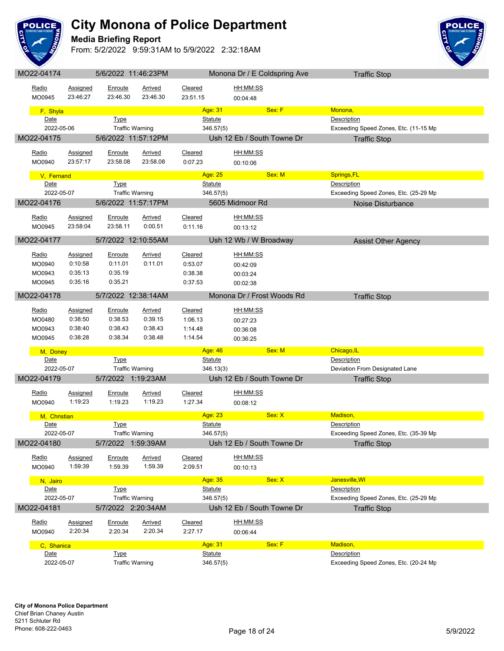

**Media Briefing Report**



| MO22-04174         | 5/6/2022 11:46:23PM<br>Monona Dr / E Coldspring Ave |                                       |                    |                | <b>Traffic Stop</b>        |                                                      |  |
|--------------------|-----------------------------------------------------|---------------------------------------|--------------------|----------------|----------------------------|------------------------------------------------------|--|
| Radio              | Assigned                                            | Enroute                               | Arrived            | Cleared        | HH:MM:SS                   |                                                      |  |
| MO0945             | 23:46:27                                            | 23:46.30                              | 23:46.30           | 23:51.15       |                            |                                                      |  |
|                    |                                                     |                                       |                    |                | 00:04:48                   |                                                      |  |
| F, Shyla           |                                                     |                                       |                    | Age: 31        | Sex: F                     | Monona,                                              |  |
| Date               |                                                     | <b>Type</b>                           |                    | <b>Statute</b> |                            | Description                                          |  |
| 2022-05-06         |                                                     | <b>Traffic Warning</b>                |                    | 346.57(5)      |                            | Exceeding Speed Zones, Etc. (11-15 Mp                |  |
| MO22-04175         |                                                     | 5/6/2022 11:57:12PM                   |                    |                | Ush 12 Eb / South Towne Dr | <b>Traffic Stop</b>                                  |  |
| Radio              | Assigned                                            | Enroute                               | Arrived            | Cleared        | HH:MM:SS                   |                                                      |  |
| MO0940             | 23:57:17                                            | 23:58.08                              | 23:58.08           | 0:07.23        | 00:10:06                   |                                                      |  |
|                    |                                                     |                                       |                    |                |                            |                                                      |  |
| V, Fernand         |                                                     |                                       |                    | Age: 25        | Sex: M                     | Springs, FL                                          |  |
| Date               |                                                     | <b>Type</b>                           |                    | <b>Statute</b> |                            | Description                                          |  |
| 2022-05-07         |                                                     | <b>Traffic Warning</b>                |                    | 346.57(5)      |                            | Exceeding Speed Zones, Etc. (25-29 Mp                |  |
| MO22-04176         |                                                     | 5/6/2022 11:57:17PM                   |                    |                | 5605 Midmoor Rd            | Noise Disturbance                                    |  |
| Radio              | Assigned                                            | Enroute                               | <b>Arrived</b>     | Cleared        | HH:MM:SS                   |                                                      |  |
| MO0945             | 23:58:04                                            | 23:58.11                              | 0:00.51            | 0:11.16        | 00:13:12                   |                                                      |  |
|                    |                                                     |                                       |                    |                |                            |                                                      |  |
| MO22-04177         |                                                     | 5/7/2022 12:10:55AM                   |                    |                | Ush 12 Wb / W Broadway     | <b>Assist Other Agency</b>                           |  |
| Radio              | Assigned                                            | <u>Enroute</u>                        | <b>Arrived</b>     | Cleared        | <u>HH:MM:SS</u>            |                                                      |  |
| MO0940             | 0:10:58                                             | 0:11.01                               | 0:11.01            | 0:53.07        | 00:42:09                   |                                                      |  |
| MO0943             | 0:35:13                                             | 0:35.19                               |                    | 0:38.38        | 00:03:24                   |                                                      |  |
| MO0945             | 0:35:16                                             | 0:35.21                               |                    | 0:37.53        | 00:02:38                   |                                                      |  |
| MO22-04178         |                                                     | 5/7/2022 12:38:14AM                   |                    |                | Monona Dr / Frost Woods Rd | <b>Traffic Stop</b>                                  |  |
|                    |                                                     |                                       |                    |                |                            |                                                      |  |
| Radio              | Assigned                                            | Enroute                               | <b>Arrived</b>     | Cleared        | HH:MM:SS                   |                                                      |  |
| MO0480             | 0:38:50                                             | 0:38.53                               | 0:39.15            | 1:06.13        | 00:27:23                   |                                                      |  |
| MO0943             | 0:38:40                                             | 0:38.43                               | 0:38.43            | 1:14.48        | 00:36:08                   |                                                      |  |
| MO0945             | 0:38:28                                             | 0:38.34                               | 0:38.48            | 1:14.54        | 00:36:25                   |                                                      |  |
| M, Doney           |                                                     |                                       |                    | Age: 46        | Sex: M                     | Chicago, IL                                          |  |
| Date               |                                                     | <b>Type</b>                           |                    | <b>Statute</b> |                            | Description                                          |  |
| 2022-05-07         |                                                     | <b>Traffic Warning</b>                |                    | 346.13(3)      |                            | Deviation From Designated Lane                       |  |
| MO22-04179         |                                                     | 5/7/2022 1:19:23AM                    |                    |                | Ush 12 Eb / South Towne Dr | <b>Traffic Stop</b>                                  |  |
|                    |                                                     |                                       |                    |                | HH:MM:SS                   |                                                      |  |
| Radio              | <b>Assigned</b><br>1:19:23                          | <b>Enroute</b><br>1:19.23             | Arrived<br>1:19.23 | Cleared        |                            |                                                      |  |
| MO0940             |                                                     |                                       |                    | 1:27.34        | 00:08:12                   |                                                      |  |
| M, Christian       |                                                     |                                       |                    | Age: 23        | Sex: X                     | Madison,                                             |  |
| Date               |                                                     | <b>Type</b>                           |                    | <b>Statute</b> |                            | Description                                          |  |
| 2022-05-07         |                                                     | <b>Traffic Warning</b>                |                    | 346.57(5)      |                            | Exceeding Speed Zones, Etc. (35-39 Mp)               |  |
| MO22-04180         |                                                     | 5/7/2022 1:59:39AM                    |                    |                | Ush 12 Eb / South Towne Dr | <b>Traffic Stop</b>                                  |  |
| Radio              | Assigned                                            | Enroute                               | Arrived            | Cleared        | HH:MM:SS                   |                                                      |  |
| MO0940             | 1:59:39                                             | 1:59.39                               | 1:59.39            | 2:09.51        | 00:10:13                   |                                                      |  |
|                    |                                                     |                                       |                    |                |                            |                                                      |  |
| N, Jairo           |                                                     |                                       |                    | Age: 35        | Sex: X                     | Janesville, WI                                       |  |
| Date<br>2022-05-07 |                                                     | <b>Type</b><br><b>Traffic Warning</b> |                    | <b>Statute</b> |                            | Description<br>Exceeding Speed Zones, Etc. (25-29 Mp |  |
|                    |                                                     |                                       |                    | 346.57(5)      |                            |                                                      |  |
| MO22-04181         |                                                     | 5/7/2022 2:20:34AM                    |                    |                | Ush 12 Eb / South Towne Dr | <b>Traffic Stop</b>                                  |  |
| Radio              | Assigned                                            | Enroute                               | <b>Arrived</b>     | Cleared        | HH:MM:SS                   |                                                      |  |
| MO0940             | 2:20:34                                             | 2:20.34                               | 2:20.34            | 2:27.17        | 00:06:44                   |                                                      |  |
|                    |                                                     |                                       |                    | Age: 31        | Sex: F                     | Madison,                                             |  |
| C, Shanica<br>Date |                                                     | <b>Type</b>                           |                    | <b>Statute</b> |                            | Description                                          |  |
| 2022-05-07         |                                                     | <b>Traffic Warning</b>                |                    | 346.57(5)      |                            | Exceeding Speed Zones, Etc. (20-24 Mp                |  |
|                    |                                                     |                                       |                    |                |                            |                                                      |  |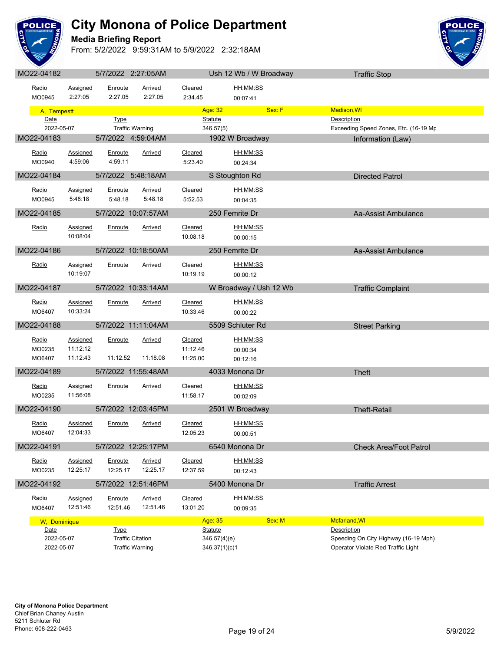

**Media Briefing Report**



| IVIUZZ-U <del>T</del> TUZ |                      |                    | <b>UITILULL L.L. JUUNIVI</b> |                     | USIL IZ VVU / VV DIUQUWAY | <b>Hallic Stop</b>                    |
|---------------------------|----------------------|--------------------|------------------------------|---------------------|---------------------------|---------------------------------------|
| Radio<br>MO0945           | Assigned<br>2:27:05  | Enroute<br>2:27.05 | Arrived<br>2:27.05           | Cleared<br>2:34.45  | HH:MM:SS                  |                                       |
|                           |                      |                    |                              |                     | 00:07:41                  |                                       |
| A, Tempestt               |                      |                    |                              | Age: 32             | Sex: F                    | Madison, WI                           |
| Date                      |                      | Type               |                              | <b>Statute</b>      |                           | <b>Description</b>                    |
| 2022-05-07                |                      |                    | <b>Traffic Warning</b>       | 346.57(5)           |                           | Exceeding Speed Zones, Etc. (16-19 Mp |
| MO22-04183                |                      |                    | 5/7/2022 4:59:04AM           |                     | 1902 W Broadway           | Information (Law)                     |
| Radio                     | Assigned             | Enroute            | Arrived                      | Cleared             | HH:MM:SS                  |                                       |
| MO0940                    | 4:59:06              | 4:59.11            |                              | 5:23.40             | 00:24:34                  |                                       |
| MO22-04184                |                      |                    | 5/7/2022 5:48:18AM           |                     | S Stoughton Rd            | <b>Directed Patrol</b>                |
|                           |                      |                    |                              |                     |                           |                                       |
| <u>Radio</u>              | Assigned             | Enroute            | Arrived                      | Cleared             | HH:MM:SS                  |                                       |
| MO0945                    | 5:48:18              | 5:48.18            | 5:48.18                      | 5:52.53             | 00:04:35                  |                                       |
| MO22-04185                |                      |                    | 5/7/2022 10:07:57AM          |                     | 250 Femrite Dr            | Aa-Assist Ambulance                   |
| Radio                     | Assigned             | Enroute            | <b>Arrived</b>               | Cleared             | HH:MM:SS                  |                                       |
|                           | 10:08:04             |                    |                              | 10:08.18            | 00:00:15                  |                                       |
|                           |                      |                    |                              |                     |                           |                                       |
| MO22-04186                |                      |                    | 5/7/2022 10:18:50AM          |                     | 250 Femrite Dr            | Aa-Assist Ambulance                   |
| Radio                     | Assigned             | Enroute            | Arrived                      | Cleared             | HH:MM:SS                  |                                       |
|                           | 10:19:07             |                    |                              | 10:19.19            | 00:00:12                  |                                       |
| MO22-04187                |                      |                    | 5/7/2022 10:33:14AM          |                     | W Broadway / Ush 12 Wb    | <b>Traffic Complaint</b>              |
|                           |                      |                    |                              |                     |                           |                                       |
| Radio                     | Assigned             | Enroute            | Arrived                      | Cleared             | HH:MM:SS                  |                                       |
| MO6407                    | 10:33:24             |                    |                              | 10:33.46            | 00:00:22                  |                                       |
| MO22-04188                |                      |                    | 5/7/2022 11:11:04AM          |                     | 5509 Schluter Rd          | <b>Street Parking</b>                 |
|                           |                      |                    |                              |                     |                           |                                       |
| Radio<br>MO0235           | Assigned<br>11:12:12 | Enroute            | <b>Arrived</b>               | Cleared<br>11:12.46 | HH:MM:SS                  |                                       |
| MO6407                    | 11:12:43             | 11:12.52           | 11:18.08                     | 11:25.00            | 00:00:34<br>00:12:16      |                                       |
|                           |                      |                    |                              |                     |                           |                                       |
| MO22-04189                |                      |                    | 5/7/2022 11:55:48AM          |                     | 4033 Monona Dr            | <b>Theft</b>                          |
| Radio                     | <b>Assigned</b>      | Enroute            | <b>Arrived</b>               | Cleared             | HH:MM:SS                  |                                       |
| MO0235                    | 11:56:08             |                    |                              | 11:58.17            | 00:02:09                  |                                       |
| MO22-04190                |                      |                    | 5/7/2022 12:03:45PM          |                     | 2501 W Broadway           | <b>Theft-Retail</b>                   |
|                           |                      |                    |                              |                     |                           |                                       |
| Radio                     | Assigned             | Enroute            | <b>Arrived</b>               | Cleared             | HH:MM:SS                  |                                       |
| MO6407                    | 12:04:33             |                    |                              | 12:05.23            | 00:00:51                  |                                       |
| MO22-04191                |                      |                    | 5/7/2022 12:25:17PM          |                     | 6540 Monona Dr            | <b>Check Area/Foot Patrol</b>         |
| Radio                     | Assigned             | Enroute            | <b>Arrived</b>               | Cleared             | HH:MM:SS                  |                                       |
| MO0235                    | 12:25:17             | 12:25.17           | 12:25.17                     | 12:37.59            | 00:12:43                  |                                       |
|                           |                      |                    |                              |                     |                           |                                       |
| MO22-04192                |                      |                    | 5/7/2022 12:51:46PM          |                     | 5400 Monona Dr            | <b>Traffic Arrest</b>                 |
| Radio                     | Assigned             | Enroute            | Arrived                      | Cleared             | HH:MM:SS                  |                                       |
| MO6407                    | 12:51:46             | 12:51.46           | 12:51.46                     | 13:01.20            | 00:09:35                  |                                       |
| W, Dominique              |                      |                    |                              | Age: 35             | Sex: M                    | Mcfarland, WI                         |
| Date                      |                      | <b>Type</b>        |                              | <b>Statute</b>      |                           | Description                           |
| 2022-05-07                |                      |                    | <b>Traffic Citation</b>      |                     | 346.57(4)(e)              | Speeding On City Highway (16-19 Mph)  |
| 2022-05-07                |                      |                    | <b>Traffic Warning</b>       |                     | 346.37(1)(c)1             | Operator Violate Red Traffic Light    |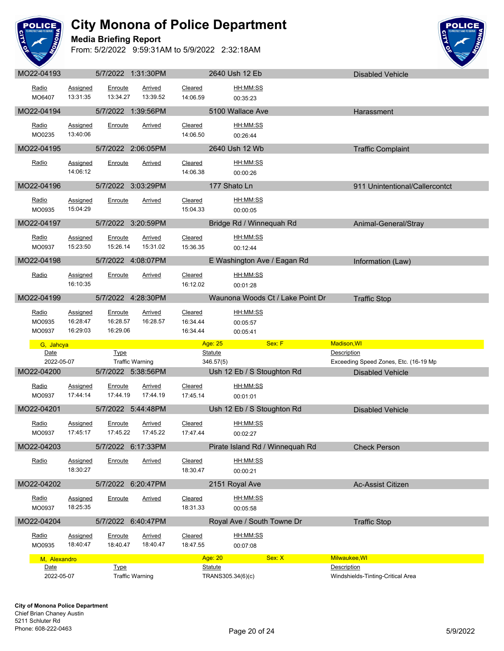

**Media Briefing Report**



|                      |                                         |                                 |                            |                     |                                         | <b>DISAVICU VEHICIC</b>                                          |
|----------------------|-----------------------------------------|---------------------------------|----------------------------|---------------------|-----------------------------------------|------------------------------------------------------------------|
| Radio<br>MO6407      | Assigned<br>13:31:35                    | Enroute<br>13:34.27             | Arrived<br>13:39.52        | Cleared<br>14:06.59 | HH:MM:SS<br>00:35:23                    |                                                                  |
| MO22-04194           |                                         | 5/7/2022 1:39:56PM              |                            |                     | 5100 Wallace Ave                        | Harassment                                                       |
| Radio<br>MO0235      | <b>Assigned</b><br>13:40:06             | Enroute                         | <b>Arrived</b>             | Cleared<br>14:06.50 | HH:MM:SS<br>00:26:44                    |                                                                  |
| MO22-04195           |                                         | 5/7/2022 2:06:05PM              |                            |                     | 2640 Ush 12 Wb                          | <b>Traffic Complaint</b>                                         |
| Radio                | Assigned<br>14:06:12                    | Enroute                         | Arrived                    | Cleared<br>14:06.38 | HH:MM:SS<br>00:00:26                    |                                                                  |
| MO22-04196           |                                         | 5/7/2022 3:03:29PM              |                            |                     | 177 Shato Ln                            | 911 Unintentional/Callercontct                                   |
| Radio<br>MO0935      | Assigned<br>15:04:29                    | Enroute                         | Arrived                    | Cleared<br>15:04.33 | HH:MM:SS<br>00:00:05                    |                                                                  |
| MO22-04197           |                                         | 5/7/2022 3:20:59PM              |                            |                     | Bridge Rd / Winnequah Rd                | Animal-General/Stray                                             |
| Radio<br>MO0937      | <b>Assigned</b><br>15:23:50             | Enroute<br>15:26.14             | Arrived<br>15:31.02        | Cleared<br>15:36.35 | HH:MM:SS<br>00:12:44                    |                                                                  |
| MO22-04198           |                                         | 5/7/2022 4:08:07PM              |                            |                     | E Washington Ave / Eagan Rd             | Information (Law)                                                |
| Radio                | Assigned<br>16:10:35                    | Enroute                         | Arrived                    | Cleared<br>16:12.02 | HH:MM:SS<br>00:01:28                    |                                                                  |
| MO22-04199           |                                         | 5/7/2022 4:28:30PM              |                            |                     | Waunona Woods Ct / Lake Point Dr        | <b>Traffic Stop</b>                                              |
| Radio<br>MO0935      | <b>Assigned</b><br>16:28:47<br>16:29:03 | Enroute<br>16:28.57<br>16:29.06 | Arrived<br>16:28.57        | Cleared<br>16:34.44 | <u>HH:MM:SS</u><br>00:05:57<br>00:05:41 |                                                                  |
| MO0937               |                                         |                                 |                            | 16:34.44            |                                         |                                                                  |
| G, Jahcya            |                                         |                                 |                            |                     | Age: 25<br>Sex: F                       | Madison, WI                                                      |
| Date<br>2022-05-07   |                                         | <b>Type</b>                     |                            |                     | <b>Statute</b>                          | Description                                                      |
| MO22-04200           |                                         | 5/7/2022 5:38:56PM              | <b>Traffic Warning</b>     |                     | 346.57(5)<br>Ush 12 Eb / S Stoughton Rd | Exceeding Speed Zones, Etc. (16-19 Mp<br><b>Disabled Vehicle</b> |
| Radio<br>MO0937      | Assigned<br>17:44:14                    | Enroute<br>17:44.19             | Arrived<br>17:44.19        | Cleared<br>17:45.14 | HH:MM:SS<br>00:01:01                    |                                                                  |
| MO22-04201           |                                         | 5/7/2022 5:44:48PM              |                            |                     | Ush 12 Eb / S Stoughton Rd              | <b>Disabled Vehicle</b>                                          |
| Radio<br>MO0937      | <u>Assigned</u><br>17:45:17             | Enroute<br>17:45.22             | Arrived<br>17:45.22        | Cleared<br>17:47.44 | HH:MM:SS<br>00:02:27                    |                                                                  |
| MO22-04203           |                                         | 5/7/2022 6:17:33PM              |                            |                     | Pirate Island Rd / Winnequah Rd         | <b>Check Person</b>                                              |
| Radio                | Assigned<br>18:30:27                    | Enroute                         | <b>Arrived</b>             | Cleared<br>18:30.47 | HH:MM:SS<br>00:00:21                    |                                                                  |
| MO22-04202           |                                         | 5/7/2022 6:20:47PM              |                            |                     | 2151 Royal Ave                          | Ac-Assist Citizen                                                |
| Radio<br>MO0937      | Assigned<br>18:25:35                    | Enroute                         | Arrived                    | Cleared<br>18:31.33 | HH:MM:SS<br>00:05:58                    |                                                                  |
| MO22-04204           |                                         | 5/7/2022 6:40:47PM              |                            |                     | Royal Ave / South Towne Dr              | <b>Traffic Stop</b>                                              |
| Radio<br>MO0935      | <b>Assigned</b><br>18:40:47             | Enroute<br>18:40.47             | <b>Arrived</b><br>18:40.47 | Cleared<br>18:47.55 | HH:MM:SS<br>00:07:08                    |                                                                  |
| M, Alexandro<br>Date |                                         | <b>Type</b>                     |                            |                     | Sex: X<br>Age: 20<br>Statute            | Milwaukee, WI<br>Description                                     |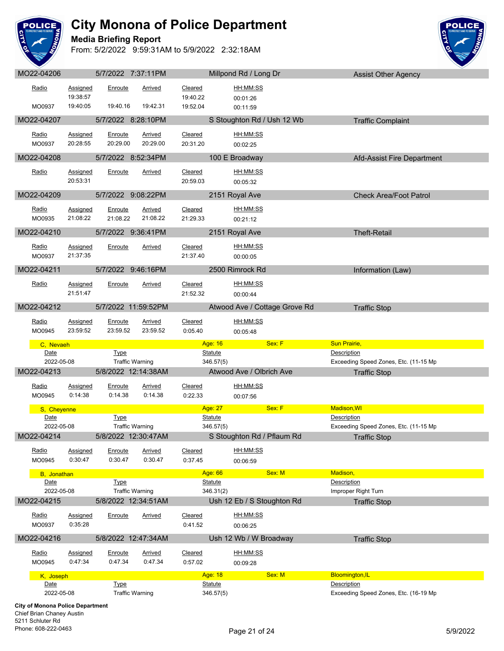

**Media Briefing Report**



| MO22-04206          |                             | 5/7/2022 7:37:11PM     |                           |                     | Millpond Rd / Long Dr               | <b>Assist Other Agency</b>                                  |
|---------------------|-----------------------------|------------------------|---------------------------|---------------------|-------------------------------------|-------------------------------------------------------------|
| Radio               | Assigned                    | Enroute                | Arrived                   | Cleared             | HH:MM:SS                            |                                                             |
|                     | 19:38:57                    |                        |                           | 19:40.22            | 00:01:26                            |                                                             |
| MO0937              | 19:40:05                    | 19:40.16               | 19:42.31                  | 19:52.04            | 00:11:59                            |                                                             |
| MO22-04207          |                             | 5/7/2022 8:28:10PM     |                           |                     | S Stoughton Rd / Ush 12 Wb          | <b>Traffic Complaint</b>                                    |
| Radio               | Assigned                    | Enroute                | Arrived                   | Cleared             | HH:MM:SS                            |                                                             |
| MO0937              | 20:28:55                    | 20:29.00               | 20:29.00                  | 20:31.20            | 00:02:25                            |                                                             |
| MO22-04208          |                             | 5/7/2022 8:52:34PM     |                           |                     | 100 E Broadway                      | Afd-Assist Fire Department                                  |
|                     |                             |                        |                           |                     |                                     |                                                             |
| Radio               | Assigned<br>20:53:31        | Enroute                | Arrived                   | Cleared             | HH:MM:SS                            |                                                             |
|                     |                             |                        |                           | 20:59.03            | 00:05:32                            |                                                             |
| MO22-04209          |                             | 5/7/2022 9:08:22PM     |                           |                     | 2151 Royal Ave                      | <b>Check Area/Foot Patrol</b>                               |
| Radio               | <u>Assigned</u>             | Enroute                | Arrived                   | Cleared             | HH:MM:SS                            |                                                             |
| MO0935              | 21:08:22                    | 21:08.22               | 21:08.22                  | 21:29.33            | 00:21:12                            |                                                             |
| MO22-04210          |                             | 5/7/2022 9:36:41PM     |                           |                     | 2151 Royal Ave                      | <b>Theft-Retail</b>                                         |
| Radio               | <b>Assigned</b>             | Enroute                | <u>Arrived</u>            | Cleared             | HH:MM:SS                            |                                                             |
| MO0937              | 21:37:35                    |                        |                           | 21:37.40            | 00:00:05                            |                                                             |
| MO22-04211          |                             | 5/7/2022 9:46:16PM     |                           |                     | 2500 Rimrock Rd                     | Information (Law)                                           |
|                     |                             |                        |                           |                     |                                     |                                                             |
| Radio               | <b>Assigned</b><br>21:51:47 | Enroute                | Arrived                   | Cleared<br>21:52.32 | HH:MM:SS<br>00:00:44                |                                                             |
|                     |                             |                        |                           |                     |                                     |                                                             |
| MO22-04212          |                             | 5/7/2022 11:59:52PM    |                           |                     | Atwood Ave / Cottage Grove Rd       | <b>Traffic Stop</b>                                         |
| Radio               | Assigned                    | Enroute                | Arrived                   | Cleared             | HH:MM:SS                            |                                                             |
| MO0945              | 23:59:52                    | 23:59.52               | 23:59.52                  | 0:05.40             | 00:05:48                            |                                                             |
|                     |                             |                        |                           |                     |                                     |                                                             |
| C, Nevaeh           |                             |                        |                           |                     | Sex: F<br>Age: 16                   | <b>Sun Prairie,</b>                                         |
| Date                |                             | <b>Type</b>            |                           |                     | <b>Statute</b>                      | Description                                                 |
| 2022-05-08          |                             |                        | <b>Traffic Warning</b>    |                     | 346.57(5)                           | Exceeding Speed Zones, Etc. (11-15 Mp                       |
| MO22-04213          |                             | 5/8/2022 12:14:38AM    |                           |                     | Atwood Ave / Olbrich Ave            | <b>Traffic Stop</b>                                         |
| Radio               | <b>Assigned</b>             | Enroute                | Arrived                   | Cleared             | <u>HH:MM:SS</u>                     |                                                             |
| MO0945              | 0:14:38                     | 0:14.38                | 0:14.38                   | 0:22.33             | 00:07:56                            |                                                             |
| S, Cheyenne         |                             |                        |                           |                     | Age: 27<br>Sex: F                   | <b>Madison, WI</b>                                          |
| Date<br>2022-05-08  |                             | <b>Type</b>            | <b>Traffic Warning</b>    |                     | <b>Statute</b><br>346.57(5)         | <b>Description</b><br>Exceeding Speed Zones, Etc. (11-15 Mp |
| MO22-04214          |                             | 5/8/2022 12:30:47AM    |                           |                     | S Stoughton Rd / Pflaum Rd          | <b>Traffic Stop</b>                                         |
|                     |                             |                        |                           |                     |                                     |                                                             |
| Radio<br>MO0945     | Assigned<br>0:30:47         | Enroute<br>0:30.47     | Arrived<br>0:30.47        | Cleared<br>0:37.45  | HH:MM:SS<br>00:06:59                |                                                             |
|                     |                             |                        |                           |                     | Sex: M                              | Madison,                                                    |
| B, Jonathan<br>Date |                             | <b>Type</b>            |                           |                     | Age: 66<br><b>Statute</b>           | <b>Description</b>                                          |
| 2022-05-08          |                             |                        | <b>Traffic Warning</b>    |                     | 346.31(2)                           | Improper Right Turn                                         |
| MO22-04215          |                             | 5/8/2022 12:34:51AM    |                           |                     | Ush 12 Eb / S Stoughton Rd          | <b>Traffic Stop</b>                                         |
| Radio               | Assigned                    | Enroute                | <b>Arrived</b>            | Cleared             | HH:MM:SS                            |                                                             |
| MO0937              | 0:35:28                     |                        |                           | 0:41.52             | 00:06:25                            |                                                             |
| MO22-04216          |                             | 5/8/2022 12:47:34AM    |                           |                     | Ush 12 Wb / W Broadway              | <b>Traffic Stop</b>                                         |
|                     |                             |                        |                           |                     |                                     |                                                             |
| Radio<br>MO0945     | <b>Assigned</b><br>0:47:34  | Enroute<br>0:47.34     | <b>Arrived</b><br>0:47.34 | Cleared<br>0:57.02  | HH:MM:SS<br>00:09:28                |                                                             |
|                     |                             |                        |                           |                     |                                     |                                                             |
| K, Joseph<br>Date   |                             | <b>Type</b>            |                           |                     | Age: 18<br>Sex: M<br><b>Statute</b> | <b>Bloomington, IL</b><br>Description                       |
| 2022-05-08          |                             | <b>Traffic Warning</b> |                           |                     | 346.57(5)                           | Exceeding Speed Zones, Etc. (16-19 Mp                       |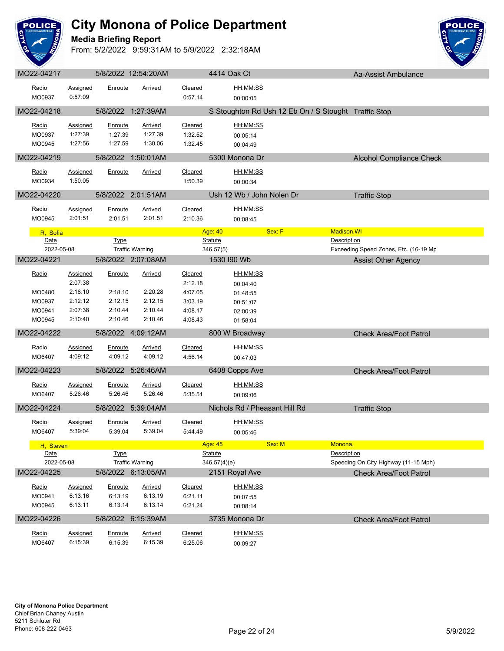

**Media Briefing Report**



| Radio      | Assigned                   | Enroute            | <b>Arrived</b>            | Cleared                   | HH:MM:SS                      |                                                      |                                       |
|------------|----------------------------|--------------------|---------------------------|---------------------------|-------------------------------|------------------------------------------------------|---------------------------------------|
| MO0937     | 0:57:09                    |                    |                           | 0:57.14                   | 00:00:05                      |                                                      |                                       |
| MO22-04218 |                            |                    | 5/8/2022 1:27:39AM        |                           |                               |                                                      |                                       |
|            |                            |                    |                           |                           |                               | S Stoughton Rd Ush 12 Eb On / S Stought Traffic Stop |                                       |
| Radio      | <b>Assigned</b>            | Enroute            | <b>Arrived</b>            | Cleared                   | HH:MM:SS                      |                                                      |                                       |
| MO0937     | 1:27:39                    | 1:27.39            | 1:27.39                   | 1:32.52                   | 00:05:14                      |                                                      |                                       |
| MO0945     | 1:27:56                    | 1:27.59            | 1:30.06                   | 1:32.45                   | 00:04:49                      |                                                      |                                       |
| MO22-04219 |                            |                    | 5/8/2022 1:50:01AM        |                           | 5300 Monona Dr                |                                                      | <b>Alcohol Compliance Check</b>       |
| Radio      | <b>Assigned</b>            | Enroute            | <b>Arrived</b>            | <b>Cleared</b>            | HH:MM:SS                      |                                                      |                                       |
| MO0934     | 1:50:05                    |                    |                           | 1:50.39                   | 00:00:34                      |                                                      |                                       |
|            |                            |                    |                           |                           |                               |                                                      |                                       |
| MO22-04220 |                            |                    | 5/8/2022 2:01:51AM        |                           | Ush 12 Wb / John Nolen Dr     |                                                      | <b>Traffic Stop</b>                   |
| Radio      | <b>Assigned</b>            | Enroute            | <b>Arrived</b>            | Cleared                   | HH:MM:SS                      |                                                      |                                       |
| MO0945     | 2:01:51                    | 2:01.51            | 2:01.51                   | 2:10.36                   | 00:08:45                      |                                                      |                                       |
| R, Sofia   |                            |                    |                           |                           | Age: 40                       | Sex: F<br><b>Madison, WI</b>                         |                                       |
| Date       |                            | <b>Type</b>        |                           |                           | <b>Statute</b>                | Description                                          |                                       |
| 2022-05-08 |                            |                    | <b>Traffic Warning</b>    |                           | 346.57(5)                     |                                                      | Exceeding Speed Zones, Etc. (16-19 Mp |
| MO22-04221 |                            |                    | 5/8/2022 2:07:08AM        |                           | 1530 I90 Wb                   |                                                      | <b>Assist Other Agency</b>            |
|            |                            |                    |                           |                           |                               |                                                      |                                       |
| Radio      | <b>Assigned</b><br>2:07:38 | Enroute            | <b>Arrived</b>            | <b>Cleared</b><br>2:12.18 | <u>HH:MM:SS</u>               |                                                      |                                       |
| MO0480     | 2:18:10                    | 2:18.10            | 2:20.28                   | 4:07.05                   | 00:04:40                      |                                                      |                                       |
| MO0937     | 2:12:12                    | 2:12.15            | 2:12.15                   | 3:03.19                   | 01:48:55                      |                                                      |                                       |
| MO0941     | 2:07:38                    | 2:10.44            | 2:10.44                   | 4:08.17                   | 00:51:07<br>02:00:39          |                                                      |                                       |
| MO0945     | 2:10:40                    | 2:10.46            | 2:10.46                   | 4:08.43                   | 01:58:04                      |                                                      |                                       |
|            |                            |                    |                           |                           |                               |                                                      |                                       |
| MO22-04222 |                            |                    | 5/8/2022 4:09:12AM        |                           | 800 W Broadway                |                                                      | <b>Check Area/Foot Patrol</b>         |
| Radio      | <b>Assigned</b>            | Enroute            | Arrived                   | Cleared                   | HH:MM:SS                      |                                                      |                                       |
| MO6407     | 4:09:12                    | 4:09.12            | 4:09.12                   | 4:56.14                   | 00:47:03                      |                                                      |                                       |
| MO22-04223 |                            |                    | 5/8/2022 5:26:46AM        |                           | 6408 Copps Ave                |                                                      | <b>Check Area/Foot Patrol</b>         |
| Radio      |                            |                    |                           | Cleared                   |                               |                                                      |                                       |
| MO6407     | Assigned<br>5:26:46        | Enroute<br>5:26.46 | <b>Arrived</b><br>5:26.46 | 5:35.51                   | HH:MM:SS                      |                                                      |                                       |
|            |                            |                    |                           |                           | 00:09:06                      |                                                      |                                       |
| MO22-04224 |                            |                    | 5/8/2022 5:39:04AM        |                           | Nichols Rd / Pheasant Hill Rd |                                                      | <b>Traffic Stop</b>                   |
| Radio      | <b>Assigned</b>            | Enroute            | <b>Arrived</b>            | Cleared                   | HH:MM:SS                      |                                                      |                                       |
| MO6407     | 5:39:04                    | 5:39.04            | 5:39.04                   | 5:44.49                   | 00:05:46                      |                                                      |                                       |
| H, Steven  |                            |                    |                           |                           | Age: 45                       | Sex: M<br>Monona.                                    |                                       |
| Date       |                            | <u>Type</u>        |                           |                           | <u>Statute</u>                | Description                                          |                                       |
| 2022-05-08 |                            |                    | <b>Traffic Warning</b>    |                           | 346.57(4)(e)                  |                                                      | Speeding On City Highway (11-15 Mph)  |
| MO22-04225 |                            |                    | 5/8/2022 6:13:05AM        |                           | 2151 Royal Ave                |                                                      | <b>Check Area/Foot Patrol</b>         |
| Radio      | <b>Assigned</b>            | Enroute            | <b>Arrived</b>            | <b>Cleared</b>            | HH:MM:SS                      |                                                      |                                       |
| MO0941     | 6:13:16                    | 6:13.19            | 6:13.19                   | 6:21.11                   | 00:07:55                      |                                                      |                                       |
| MO0945     | 6:13:11                    | 6:13.14            | 6:13.14                   | 6:21.24                   | 00:08:14                      |                                                      |                                       |
|            |                            |                    |                           |                           |                               |                                                      |                                       |
| MO22-04226 |                            |                    | 5/8/2022 6:15:39AM        |                           | 3735 Monona Dr                |                                                      | <b>Check Area/Foot Patrol</b>         |
| Radio      | <b>Assigned</b>            | Enroute            | <b>Arrived</b>            | <b>Cleared</b>            | HH:MM:SS                      |                                                      |                                       |
| MO6407     | 6:15:39                    | 6:15.39            | 6:15.39                   | 6:25.06                   | 00:09:27                      |                                                      |                                       |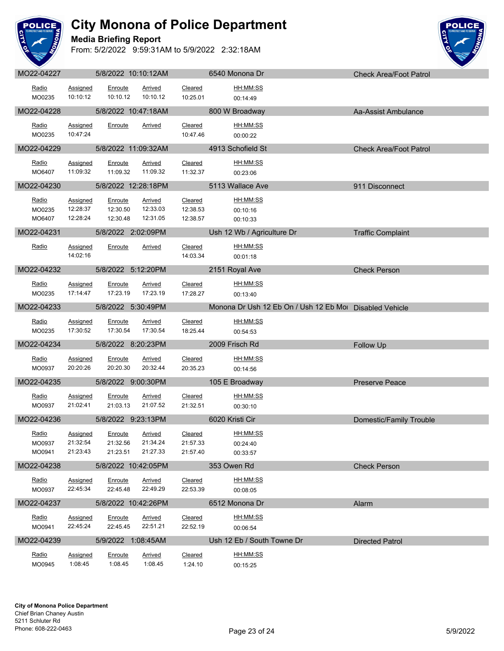

**Media Briefing Report**



| MO22-04227                |                                         | 5/8/2022 10:10:12AM             |                                        |                                 | 6540 Monona Dr                                          | <b>Check Area/Foot Patrol</b> |
|---------------------------|-----------------------------------------|---------------------------------|----------------------------------------|---------------------------------|---------------------------------------------------------|-------------------------------|
| Radio<br>MO0235           | Assigned<br>10:10:12                    | Enroute<br>10:10.12             | Arrived<br>10:10.12                    | Cleared<br>10:25.01             | HH:MM:SS<br>00:14:49                                    |                               |
| MO22-04228                |                                         | 5/8/2022 10:47:18AM             |                                        |                                 | 800 W Broadway                                          | Aa-Assist Ambulance           |
| Radio<br>MO0235           | Assigned<br>10:47:24                    | Enroute                         | Arrived                                | Cleared<br>10:47.46             | HH:MM:SS<br>00:00:22                                    |                               |
| MO22-04229                |                                         | 5/8/2022 11:09:32AM             |                                        |                                 | 4913 Schofield St                                       | <b>Check Area/Foot Patrol</b> |
| Radio<br>MO6407           | Assigned<br>11:09:32                    | Enroute<br>11:09.32             | <b>Arrived</b><br>11:09.32             | Cleared<br>11:32.37             | HH:MM:SS<br>00:23:06                                    |                               |
| MO22-04230                |                                         | 5/8/2022 12:28:18PM             |                                        |                                 | 5113 Wallace Ave                                        | 911 Disconnect                |
| Radio<br>MO0235<br>MO6407 | <b>Assigned</b><br>12:28:37<br>12:28:24 | Enroute<br>12:30.50<br>12:30.48 | <b>Arrived</b><br>12:33.03<br>12:31.05 | Cleared<br>12:38.53<br>12:38.57 | HH:MM:SS<br>00:10:16<br>00:10:33                        |                               |
| MO22-04231                |                                         | 5/8/2022 2:02:09PM              |                                        |                                 | Ush 12 Wb / Agriculture Dr                              | <b>Traffic Complaint</b>      |
| Radio                     | <b>Assigned</b><br>14:02:16             | Enroute                         | <b>Arrived</b>                         | Cleared<br>14:03.34             | HH:MM:SS<br>00:01:18                                    |                               |
| MO22-04232                |                                         | 5/8/2022 5:12:20PM              |                                        |                                 | 2151 Royal Ave                                          | <b>Check Person</b>           |
| Radio<br>MO0235           | Assigned<br>17:14:47                    | Enroute<br>17:23.19             | Arrived<br>17:23.19                    | Cleared<br>17:28.27             | HH:MM:SS<br>00:13:40                                    |                               |
| MO22-04233                |                                         | 5/8/2022 5:30:49PM              |                                        |                                 | Monona Dr Ush 12 Eb On / Ush 12 Eb Mol Disabled Vehicle |                               |
| Radio<br>MO0235           | <b>Assigned</b><br>17:30:52             | Enroute<br>17:30.54             | Arrived<br>17:30.54                    | Cleared<br>18:25.44             | HH:MM:SS<br>00:54:53                                    |                               |
| MO22-04234                |                                         | 5/8/2022 8:20:23PM              |                                        |                                 | 2009 Frisch Rd                                          | Follow Up                     |
| Radio<br>MO0937           | Assigned<br>20:20:26                    | Enroute<br>20:20.30             | Arrived<br>20:32.44                    | Cleared<br>20:35.23             | HH:MM:SS<br>00:14:56                                    |                               |
| MO22-04235                |                                         | 5/8/2022 9:00:30PM              |                                        |                                 | 105 E Broadway                                          | <b>Preserve Peace</b>         |
| Radio<br>MO0937           | Assigned<br>21:02:41                    | Enroute<br>21:03.13             | Arrived<br>21:07.52                    | Cleared<br>21:32.51             | HH:MM:SS<br>00:30:10                                    |                               |
| MO22-04236                |                                         | 5/8/2022 9:23:13PM              |                                        |                                 | 6020 Kristi Cir                                         | Domestic/Family Trouble       |
| Radio<br>MO0937<br>MO0941 | <b>Assigned</b><br>21:32:54<br>21:23:43 | Enroute<br>21:32.56<br>21:23.51 | <b>Arrived</b><br>21:34.24<br>21:27.33 | Cleared<br>21:57.33<br>21:57.40 | HH:MM:SS<br>00:24:40<br>00:33:57                        |                               |
| MO22-04238                |                                         | 5/8/2022 10:42:05PM             |                                        |                                 | 353 Owen Rd                                             | <b>Check Person</b>           |
| Radio<br>MO0937           | Assigned<br>22:45:34                    | Enroute<br>22:45.48             | Arrived<br>22:49.29                    | Cleared<br>22:53.39             | HH:MM:SS<br>00:08:05                                    |                               |
| MO22-04237                |                                         | 5/8/2022 10:42:26PM             |                                        |                                 | 6512 Monona Dr                                          | Alarm                         |
| <u>Radio</u><br>MO0941    | <b>Assigned</b><br>22:45:24             | <b>Enroute</b><br>22:45.45      | <b>Arrived</b><br>22:51.21             | Cleared<br>22:52.19             | HH:MM:SS<br>00:06:54                                    |                               |
| MO22-04239                |                                         | 5/9/2022 1:08:45AM              |                                        |                                 | Ush 12 Eb / South Towne Dr                              | <b>Directed Patrol</b>        |
| <u>Radio</u><br>MO0945    | <b>Assigned</b><br>1:08:45              | <b>Enroute</b><br>1:08.45       | <b>Arrived</b><br>1:08.45              | <b>Cleared</b><br>1:24.10       | <u>HH:MM:SS</u><br>00:15:25                             |                               |